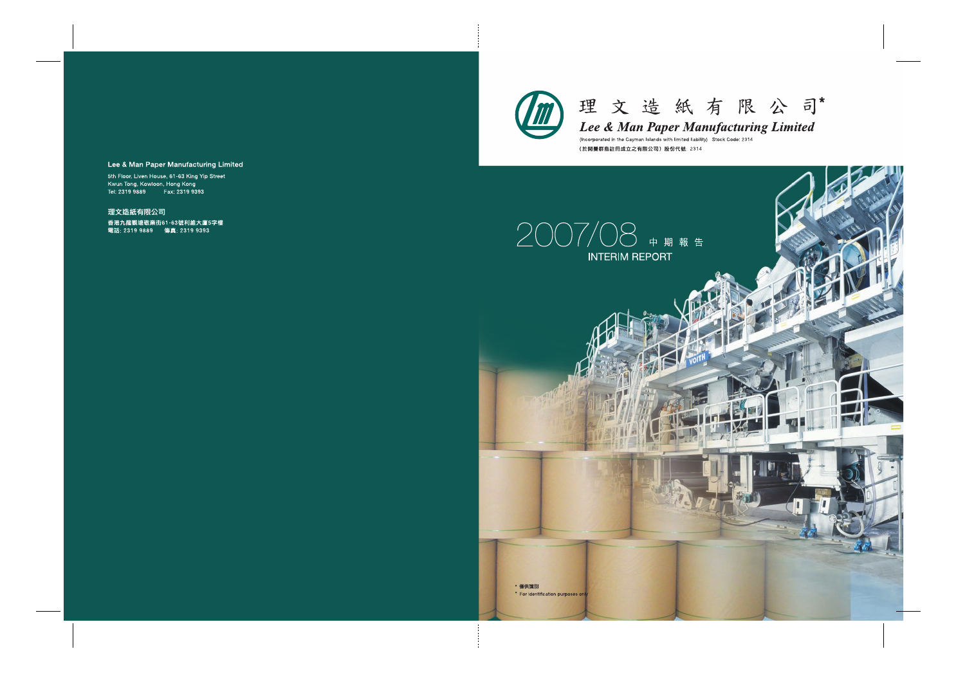



Lee & Man Paper Manufacturing Limited

(Incorporated in the Cayman Islands with limited liability) Stock Code: 2314 (於開曼群島註冊成立之有限公司)股份代號: 2314



\* For identification purposes only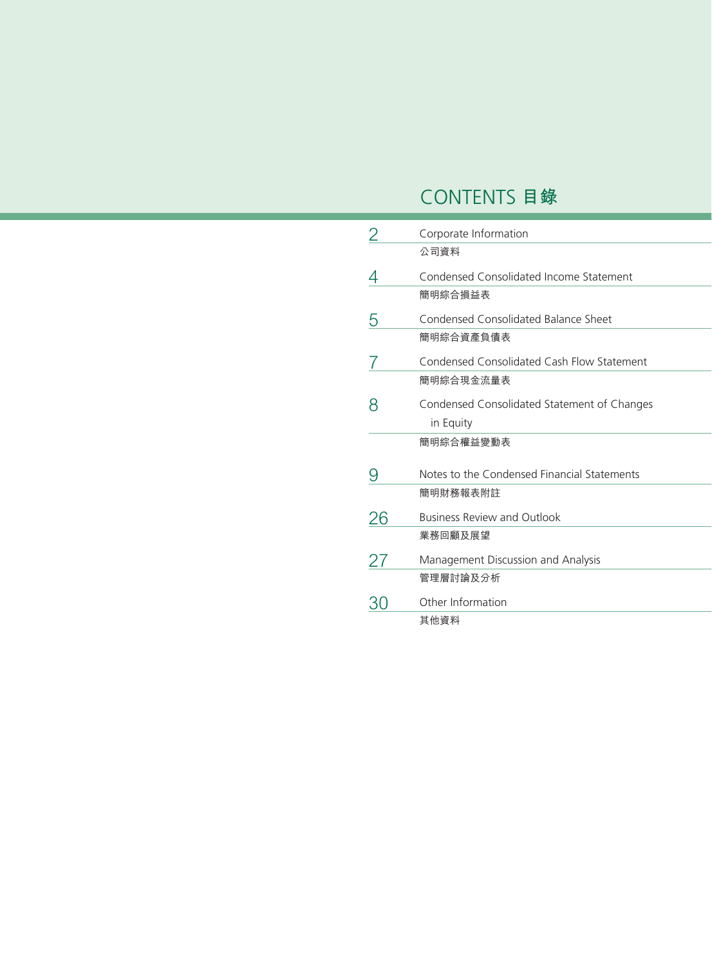# CONTENTS **目錄**

|    | Corporate Information                       |
|----|---------------------------------------------|
|    | 公司資料                                        |
|    | Condensed Consolidated Income Statement     |
|    | 簡明綜合損益表                                     |
| 5  | Condensed Consolidated Balance Sheet        |
|    | 簡明綜合資產負債表                                   |
|    | Condensed Consolidated Cash Flow Statement  |
|    | 簡明綜合現金流量表                                   |
|    | Condensed Consolidated Statement of Changes |
|    | in Equity                                   |
|    | 簡明綜合權益變動表                                   |
| 9  | Notes to the Condensed Financial Statements |
|    | 簡明財務報表附註                                    |
| 26 | <b>Business Review and Outlook</b>          |
|    | 業務回顧及展望                                     |
| 27 | Management Discussion and Analysis          |
|    | 管理層討論及分析                                    |
|    | Other Information                           |
|    | 其他資料                                        |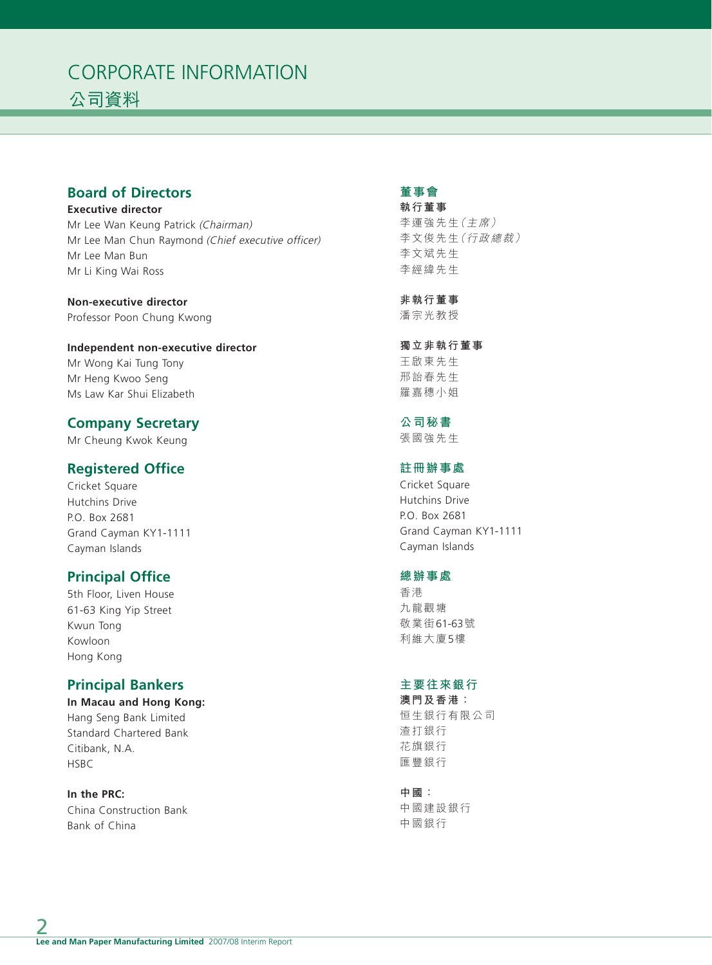## CORPORATE INFORMATION 公司資料

## **Board of Directors**

**Executive director** Mr Lee Wan Keung Patrick (Chairman) Mr Lee Man Chun Raymond (Chief executive officer) Mr Lee Man Bun Mr Li King Wai Ross

**Non-executive director** Professor Poon Chung Kwong

**Independent non-executive director** Mr Wong Kai Tung Tony

Mr Heng Kwoo Seng Ms Law Kar Shui Elizabeth

## **Company Secretary**

Mr Cheung Kwok Keung

## **Registered Office**

Cricket Square Hutchins Drive P.O. Box 2681 Grand Cayman KY1-1111 Cayman Islands

## **Principal Office**

5th Floor, Liven House 61-63 King Yip Street Kwun Tong Kowloon Hong Kong

## **Principal Bankers**

**In Macau and Hong Kong:** Hang Seng Bank Limited Standard Chartered Bank Citibank, N.A. **HSBC** 

**In the PRC:** China Construction Bank Bank of China

## **董事會**

**執行董事** 李運強先生(主席) 李文俊先生(行政總裁) 李文斌先生 李經緯先生

**非執行董事** 潘宗光教授

**獨立非執行董事** 王啟東先生 邢詒春先生 羅嘉穗小姐

## **公司秘書**

張國強先生

## **註冊辦事處**

Cricket Square Hutchins Drive P.O. Box 2681 Grand Cayman KY1-1111 Cayman Islands

#### **總辦事處**

香港 九龍觀塘 敬業街61-63號 利維大廈5樓

### **主要往來銀行**

**澳門及香港:** 恒生銀行有限公司 渣打銀行 花旗銀行 匯豐銀行

**中國:**

中國建設銀行 中國銀行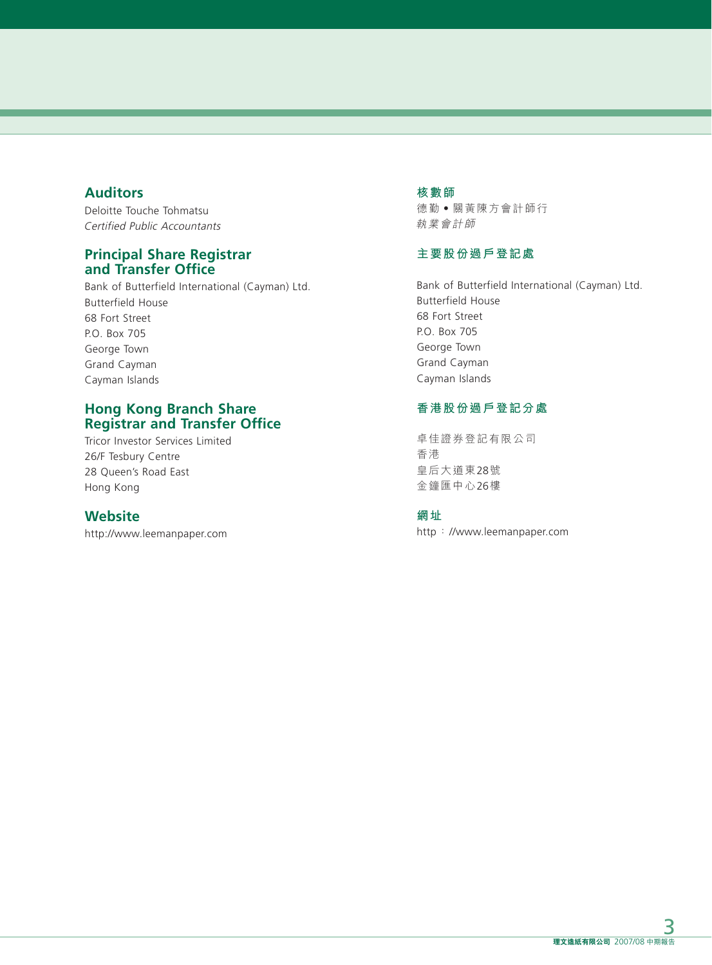## **Auditors**

Deloitte Touche Tohmatsu Certified Public Accountants

## **Principal Share Registrar and Transfer Office**

Bank of Butterfield International (Cayman) Ltd. Butterfield House 68 Fort Street P.O. Box 705 George Town Grand Cayman Cayman Islands

## **Hong Kong Branch Share Registrar and Transfer Office**

Tricor Investor Services Limited 26/F Tesbury Centre 28 Queen's Road East Hong Kong

## **Website**

http://www.leemanpaper.com

#### **核數師**

德勤‧關黃陳方會計師行 執業會計師

## **主要股份過戶登記處**

Bank of Butterfield International (Cayman) Ltd. Butterfield House 68 Fort Street P.O. Box 705 George Town Grand Cayman Cayman Islands

## **香港股份過戶登記分處**

卓佳證券登記有限公司 香港 皇后大道東28號 金鐘匯中心26樓

### **網址**

http://www.leemanpaper.com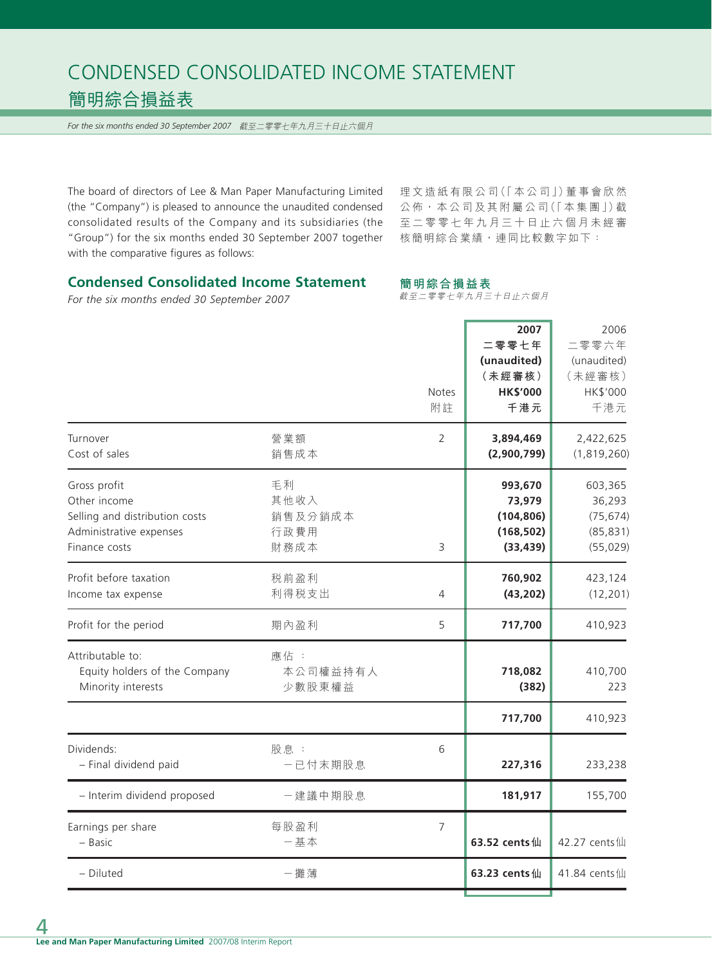## CONDENSED CONSOLIDATED INCOME STATEMENT 簡明綜合損益表

*For the six months ended 30 September 2007* 截至二零零七年九月三十日止六個月

The board of directors of Lee & Man Paper Manufacturing Limited (the "Company") is pleased to announce the unaudited condensed consolidated results of the Company and its subsidiaries (the "Group") for the six months ended 30 September 2007 together with the comparative figures as follows:

理文造紙有限公司(「本公司」)董事會欣然 公佈,本公司及其附屬公司(「本集團」)截 至二零零七年九月三十日止六個月未經審 核簡明綜合業績,連同比較數字如下:

### **Condensed Consolidated Income Statement**

*For the six months ended 30 September 2007*

#### **簡明綜合損益表**

截至二零零七年九月三十日止六個月

|                                                                                                            |                                       | <b>Notes</b><br>附註 | 2007<br>二零零七年<br>(unaudited)<br>(未經審核)<br><b>HK\$'000</b><br>千港元 | 2006<br>二零零六年<br>(unaudited)<br>(未經審核)<br>HK\$'000<br>千港元 |
|------------------------------------------------------------------------------------------------------------|---------------------------------------|--------------------|------------------------------------------------------------------|-----------------------------------------------------------|
| Turnover<br>Cost of sales                                                                                  | 營業額<br>銷售成本                           | 2                  | 3,894,469<br>(2,900,799)                                         | 2,422,625<br>(1,819,260)                                  |
| Gross profit<br>Other income<br>Selling and distribution costs<br>Administrative expenses<br>Finance costs | 毛利<br>其他收入<br>銷售及分銷成本<br>行政費用<br>財務成本 | 3                  | 993,670<br>73,979<br>(104, 806)<br>(168, 502)<br>(33, 439)       | 603,365<br>36,293<br>(75, 674)<br>(85, 831)<br>(55, 029)  |
| Profit before taxation<br>Income tax expense                                                               | 税前盈利<br>利得税支出                         | 4                  | 760,902<br>(43, 202)                                             | 423,124<br>(12, 201)                                      |
| Profit for the period                                                                                      | 期內盈利                                  | 5                  | 717,700                                                          | 410,923                                                   |
| Attributable to:<br>Equity holders of the Company<br>Minority interests                                    | 應佔:<br>本公司權益持有人<br>少數股東權益             |                    | 718,082<br>(382)                                                 | 410,700<br>223                                            |
|                                                                                                            |                                       |                    | 717,700                                                          | 410,923                                                   |
| Dividends:<br>- Final dividend paid                                                                        | 股息:<br>一已付末期股息                        | 6                  | 227,316                                                          | 233,238                                                   |
| - Interim dividend proposed                                                                                | 一建議中期股息                               |                    | 181,917                                                          | 155,700                                                   |
| Earnings per share<br>- Basic                                                                              | 每股盈利<br>一基本                           | 7                  | 63.52 cents仙                                                     | 42.27 cents仙                                              |
| - Diluted                                                                                                  | 一攤薄                                   |                    | 63.23 cents仙                                                     | 41.84 cents仙                                              |
|                                                                                                            |                                       |                    |                                                                  |                                                           |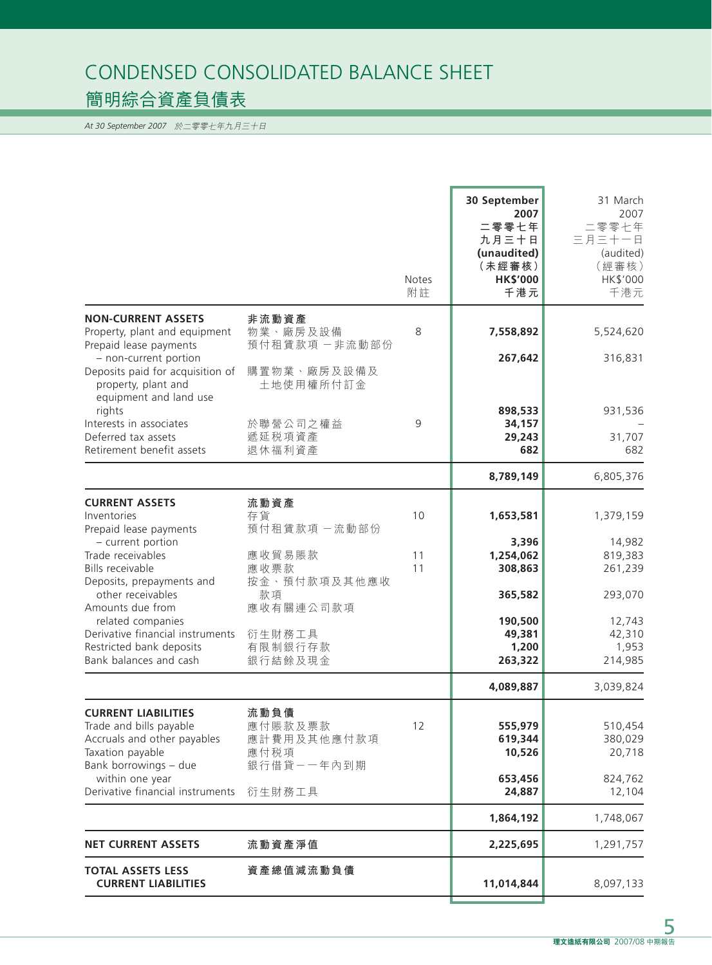## CONDENSED CONSOLIDATED BALANCE SHEET 簡明綜合資產負債表

*At 30 September 2007* 於二零零七年九月三十日

|                                                                                                                                                                                                              |                                                               | <b>Notes</b><br>附註 | 30 September<br>2007<br>二零零七年<br>九月三十日<br>(unaudited)<br>(未經審核)<br><b>HK\$'000</b><br>千港元 | 31 March<br>2007<br>二零零七年<br>三月三十一日<br>(audited)<br>(經審核)<br>HK\$'000<br>千港元 |
|--------------------------------------------------------------------------------------------------------------------------------------------------------------------------------------------------------------|---------------------------------------------------------------|--------------------|-------------------------------------------------------------------------------------------|------------------------------------------------------------------------------|
| <b>NON-CURRENT ASSETS</b><br>Property, plant and equipment<br>Prepaid lease payments<br>- non-current portion<br>Deposits paid for acquisition of<br>property, plant and<br>equipment and land use<br>rights | 非流動資產<br>物業、廠房及設備<br>預付租賃款項一非流動部份<br>購置物業、廠房及設備及<br>土地使用權所付訂金 | 8                  | 7,558,892<br>267,642<br>898,533                                                           | 5,524,620<br>316,831<br>931,536                                              |
| Interests in associates<br>Deferred tax assets<br>Retirement benefit assets                                                                                                                                  | 於聯營公司之權益<br>遞延税項資產<br>退休福利資產                                  | 9                  | 34,157<br>29,243<br>682                                                                   | 31,707<br>682                                                                |
|                                                                                                                                                                                                              |                                                               |                    | 8,789,149                                                                                 | 6,805,376                                                                    |
| <b>CURRENT ASSETS</b><br>Inventories<br>Prepaid lease payments                                                                                                                                               | 流動資產<br>存貨<br>預付租賃款項一流動部份                                     | 10                 | 1,653,581                                                                                 | 1,379,159                                                                    |
| - current portion<br>Trade receivables<br>Bills receivable<br>Deposits, prepayments and                                                                                                                      | 應收貿易賬款<br>應收票款<br>按金、預付款項及其他應收                                | 11<br>11           | 3,396<br>1,254,062<br>308,863                                                             | 14,982<br>819,383<br>261,239                                                 |
| other receivables<br>Amounts due from<br>related companies<br>Derivative financial instruments<br>Restricted bank deposits<br>Bank balances and cash                                                         | 款項<br>應收有關連公司款項<br>衍生財務工具<br>有限制銀行存款<br>銀行結餘及現金               |                    | 365,582<br>190,500<br>49,381<br>1,200<br>263,322                                          | 293,070<br>12,743<br>42,310<br>1,953<br>214,985                              |
|                                                                                                                                                                                                              |                                                               |                    | 4,089,887                                                                                 | 3,039,824                                                                    |
| <b>CURRENT LIABILITIES</b><br>Trade and bills payable<br>Accruals and other payables<br>Taxation payable<br>Bank borrowings - due                                                                            | 流動負債<br>應付賬款及票款<br>應計費用及其他應付款項<br>應付税項<br>銀行借貸一一年內到期          | 12                 | 555,979<br>619,344<br>10,526                                                              | 510,454<br>380,029<br>20,718                                                 |
| within one year<br>Derivative financial instruments                                                                                                                                                          | 衍生財務工具                                                        |                    | 653,456<br>24,887                                                                         | 824,762<br>12,104                                                            |
|                                                                                                                                                                                                              |                                                               |                    | 1,864,192                                                                                 | 1,748,067                                                                    |
| <b>NET CURRENT ASSETS</b>                                                                                                                                                                                    | 流動資產淨值                                                        |                    | 2,225,695                                                                                 | 1,291,757                                                                    |
| <b>TOTAL ASSETS LESS</b><br><b>CURRENT LIABILITIES</b>                                                                                                                                                       | 資產總值減流動負債                                                     |                    | 11,014,844                                                                                | 8,097,133                                                                    |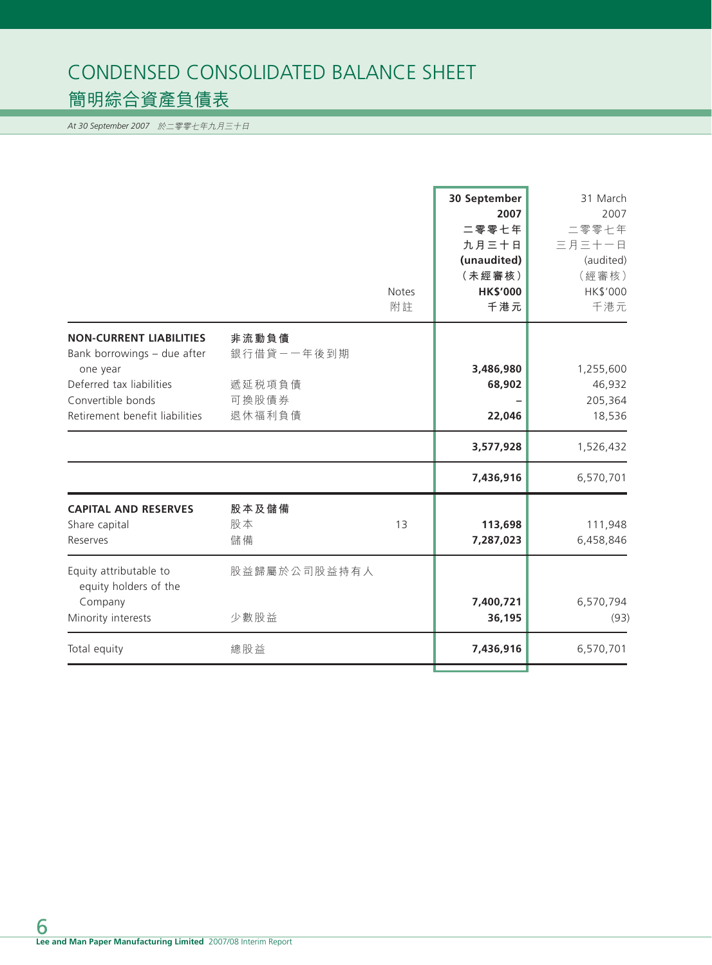## CONDENSED CONSOLIDATED BALANCE SHEET 簡明綜合資產負債表

*At 30 September 2007* 於二零零七年九月三十日

| <b>Notes</b><br>附註                                                                   | 二零零七年<br>九月三十日<br>(unaudited)<br>(未經審核)<br><b>HK\$'000</b><br>千港元 | 二零零七年<br>三月三十一日<br>(audited)<br>(經審核)<br>HK\$'000<br>千港元 |
|--------------------------------------------------------------------------------------|-------------------------------------------------------------------|----------------------------------------------------------|
| <b>NON-CURRENT LIABILITIES</b><br>非流動負債<br>銀行借貸ー一年後到期<br>Bank borrowings - due after |                                                                   |                                                          |
| one year                                                                             | 3,486,980                                                         | 1,255,600                                                |
| Deferred tax liabilities<br>遞延税項負債<br>Convertible bonds<br>可換股債券                     | 68,902                                                            | 46,932<br>205,364                                        |
| Retirement benefit liabilities<br>退休福利負債                                             | 22,046                                                            | 18,536                                                   |
|                                                                                      | 3,577,928                                                         | 1,526,432                                                |
|                                                                                      | 7,436,916                                                         | 6,570,701                                                |
| <b>CAPITAL AND RESERVES</b><br>股本及儲備<br>股本<br>Share capital<br>13<br>儲備<br>Reserves  | 113,698<br>7,287,023                                              | 111,948<br>6,458,846                                     |
| Equity attributable to<br>股益歸屬於公司股益持有人<br>equity holders of the<br>Company           | 7,400,721                                                         | 6,570,794                                                |
| Minority interests<br>少數股益                                                           | 36,195                                                            | (93)                                                     |
| 總股益<br>Total equity                                                                  | 7,436,916                                                         | 6,570,701                                                |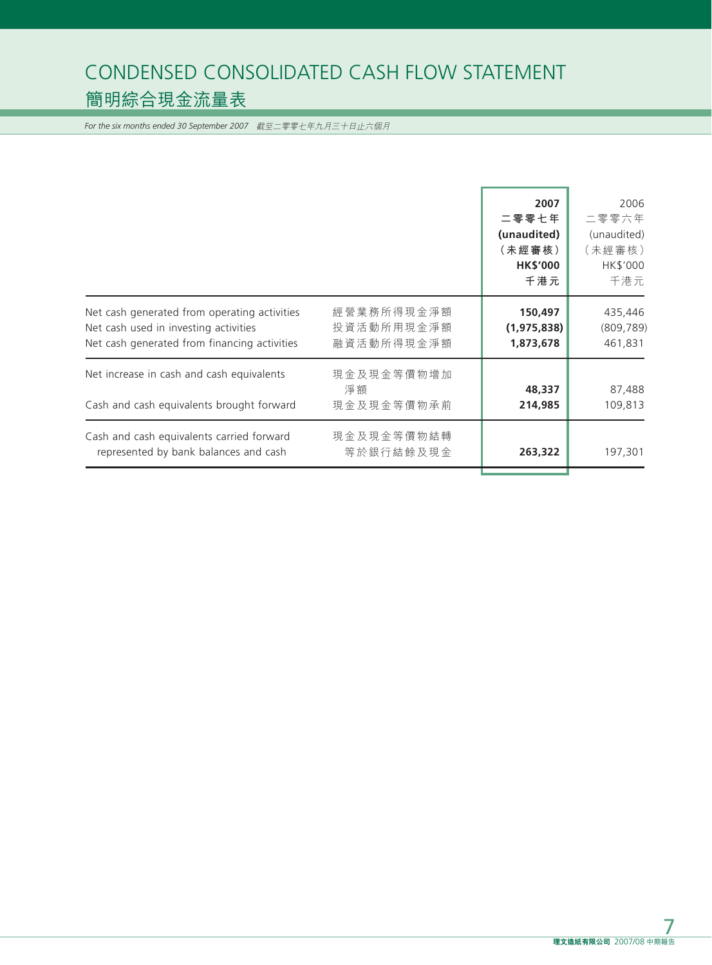## CONDENSED CONSOLIDATED CASH FLOW STATEMENT 簡明綜合現金流量表

*For the six months ended 30 September 2007* 截至二零零七年九月三十日止六個月

|                                                                                                                                       |                                        | 2007<br>二零零七年<br>(unaudited)<br>(未經審核)<br><b>HK\$'000</b><br>千港元 | 2006<br>二零零六年<br>(unaudited)<br>(未經審核)<br>HK\$'000<br>千港元 |
|---------------------------------------------------------------------------------------------------------------------------------------|----------------------------------------|------------------------------------------------------------------|-----------------------------------------------------------|
| Net cash generated from operating activities<br>Net cash used in investing activities<br>Net cash generated from financing activities | 經營業務所得現金淨額<br>投資活動所用現金淨額<br>融資活動所得現金淨額 | 150,497<br>(1, 975, 838)<br>1,873,678                            | 435,446<br>(809, 789)<br>461,831                          |
| Net increase in cash and cash equivalents<br>Cash and cash equivalents brought forward                                                | 現金及現金等價物增加<br>淨額<br>現金及現金等價物承前         | 48,337<br>214,985                                                | 87,488<br>109,813                                         |
| Cash and cash equivalents carried forward<br>represented by bank balances and cash                                                    | 現金及現金等價物結轉<br>等於銀行結餘及現金                | 263,322                                                          | 197,301                                                   |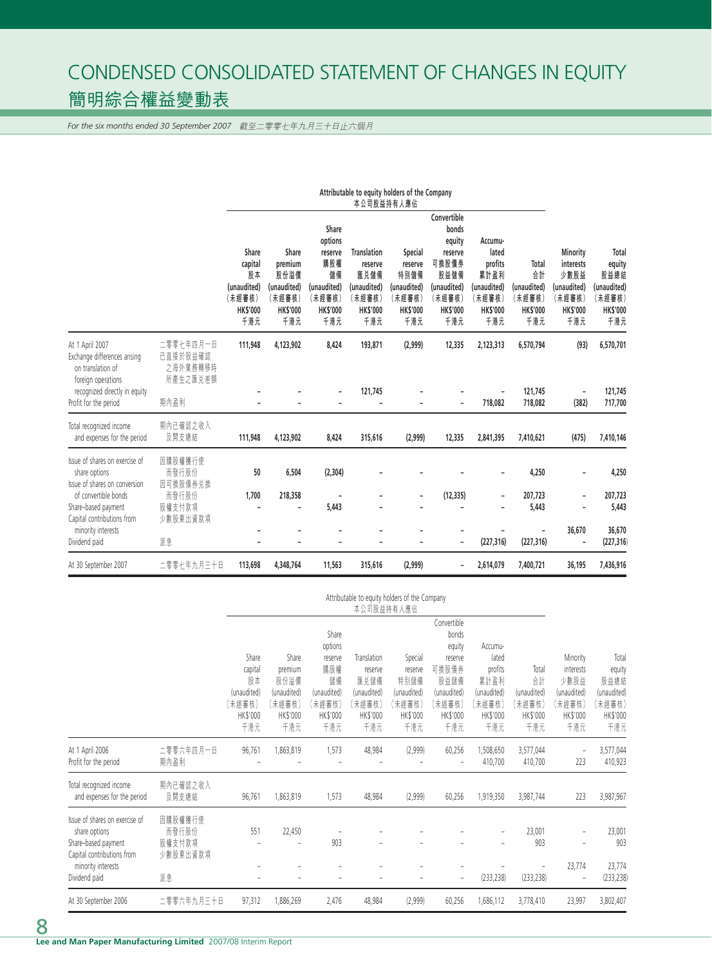## CONDENSED CONSOLIDATED STATEMENT OF CHANGES IN EQUITY 簡明綜合權益變動表

*For the six months ended 30 September 2007* 截至二零零七年九月三十日止六個月

|                                                                                                          |                                               | Attributable to equity holders of the Company<br>本公司股益持有人應佔               |                                                                            |                                                                                             |                                                                                          |                                                                               |                                                                                                               |                                                                                        |                                                                |                                                                                  |                                                                            |
|----------------------------------------------------------------------------------------------------------|-----------------------------------------------|---------------------------------------------------------------------------|----------------------------------------------------------------------------|---------------------------------------------------------------------------------------------|------------------------------------------------------------------------------------------|-------------------------------------------------------------------------------|---------------------------------------------------------------------------------------------------------------|----------------------------------------------------------------------------------------|----------------------------------------------------------------|----------------------------------------------------------------------------------|----------------------------------------------------------------------------|
|                                                                                                          |                                               | Share<br>capital<br>股本<br>(unaudited)<br>(未經審核)<br><b>HK\$'000</b><br>千港元 | Share<br>premium<br>股份溢價<br>(unaudited)<br>(未經審核)<br><b>HKS'000</b><br>千港元 | Share<br>options<br>reserve<br>購股權<br>儲備<br>(unaudited)<br>(未經審核)<br><b>HK\$'000</b><br>千港元 | <b>Translation</b><br>reserve<br>匯兑儲備<br>(unaudited)<br>(未經審核)<br><b>HK\$'000</b><br>千港元 | Special<br>reserve<br>特別儲備<br>(unaudited)<br>(未經審核)<br><b>HK\$'000</b><br>千港元 | Convertible<br>bonds<br>equity<br>reserve<br>可換股債券<br>股益儲備<br>(unaudited)<br>(未經審核)<br><b>HK\$'000</b><br>千港元 | Accumu-<br>lated<br>profits<br>累計盈利<br>(unaudited)<br>(未經審核)<br><b>HK\$'000</b><br>千港元 | Total<br>合計<br>(unaudited)<br>(未經審核)<br><b>HK\$'000</b><br>千港元 | Minority<br>interests<br>少數股益<br>(unaudited)<br>(未經審核)<br><b>HK\$'000</b><br>千港元 | Total<br>equity<br>股益總結<br>(unaudited)<br>(未經審核)<br><b>HK\$'000</b><br>千港元 |
| At 1 April 2007<br>Exchange differences arising<br>on translation of<br>foreign operations               | 二零零七年四月一日<br>已直接於股益確認<br>之海外業務轉移時<br>所產生之匯兑差額 | 111,948                                                                   | 4,123,902                                                                  | 8,424                                                                                       | 193,871                                                                                  | (2,999)                                                                       | 12,335                                                                                                        | 2,123,313                                                                              | 6,570,794                                                      | (93)                                                                             | 6,570,701                                                                  |
| recognized directly in equity<br>Profit for the period                                                   | 期內盈利                                          |                                                                           |                                                                            |                                                                                             | 121,745                                                                                  |                                                                               | ٠                                                                                                             | 718,082                                                                                | 121,745<br>718,082                                             | (382)                                                                            | 121,745<br>717,700                                                         |
| Total recognized income<br>and expenses for the period                                                   | 期内已確認之收入<br>及開支總結                             | 111,948                                                                   | 4,123,902                                                                  | 8,424                                                                                       | 315,616                                                                                  | (2,999)                                                                       | 12,335                                                                                                        | 2,841,395                                                                              | 7,410,621                                                      | (475)                                                                            | 7,410,146                                                                  |
| Issue of shares on exercise of<br>share options<br>Issue of shares on conversion<br>of convertible bonds | 因購股權獲行使<br>而發行股份<br>因可換股債券兑換<br>而發行股份         | 50<br>1,700                                                               | 6,504<br>218,358                                                           | (2,304)                                                                                     |                                                                                          | $\overline{a}$                                                                | (12, 335)                                                                                                     | $\overline{\phantom{0}}$                                                               | 4,250<br>207,723                                               |                                                                                  | 4,250<br>207,723                                                           |
| Share-based payment<br>Capital contributions from<br>minority interests<br>Dividend paid                 | 股權支付款項<br>少數股東出資款項<br>派息                      |                                                                           |                                                                            | 5,443                                                                                       |                                                                                          |                                                                               | ٠                                                                                                             | (227, 316)                                                                             | 5,443<br>(227, 316)                                            | 36,670                                                                           | 5,443<br>36,670<br>(227, 316)                                              |
| At 30 September 2007                                                                                     | 二零零七年九月三十日                                    | 113,698                                                                   | 4,348,764                                                                  | 11,563                                                                                      | 315,616                                                                                  | (2,999)                                                                       | ٠<br>$\overline{a}$                                                                                           | 2,614,079                                                                              | 7,400,721                                                      | 36,195                                                                           | 7,436,916                                                                  |

|                                                                                                                                             |                                              |                                                                    | Attributable to equity holders of the Company<br>本公司股益持有人應佔          |                                                                                      |                                                                            |                                                                        |                                                                                                        |                                                                                 |                                                        |                                                                           |                                                                     |
|---------------------------------------------------------------------------------------------------------------------------------------------|----------------------------------------------|--------------------------------------------------------------------|----------------------------------------------------------------------|--------------------------------------------------------------------------------------|----------------------------------------------------------------------------|------------------------------------------------------------------------|--------------------------------------------------------------------------------------------------------|---------------------------------------------------------------------------------|--------------------------------------------------------|---------------------------------------------------------------------------|---------------------------------------------------------------------|
|                                                                                                                                             |                                              | Share<br>capital<br>股本<br>(unaudited)<br>【未經審核】<br>HK\$'000<br>千港元 | Share<br>premium<br>股份溢價<br>(unaudited)<br>(未經審核)<br>HK\$'000<br>千港元 | Share<br>options<br>reserve<br>購股權<br>儲備<br>(unaudited)<br>(未經審核)<br>HK\$'000<br>千港元 | Translation<br>reserve<br>匯兑儲備<br>(unaudited)<br>(未經審核)<br>HK\$'000<br>千港元 | Special<br>reserve<br>特別儲備<br>(unaudited)<br>(未經審核)<br>HK\$'000<br>千港元 | Convertible<br>bonds<br>equity<br>reserve<br>可換股債券<br>股益儲備<br>(unaudited)<br>【未經審核】<br>HK\$'000<br>千港元 | Accumu-<br>lated<br>profits<br>累計盈利<br>(unaudited)<br>【未經審核】<br>HK\$'000<br>千港元 | Total<br>合計<br>(unaudited)<br>未經審核)<br>HK\$'000<br>千港元 | Minority<br>interests<br>少數股益<br>(unaudited)<br>(未經審核)<br>HK\$'000<br>千港元 | Total<br>equity<br>股益總結<br>(unaudited)<br>(未經審核)<br>HK\$'000<br>千港元 |
| At 1 April 2006<br>Profit for the period                                                                                                    | 二零零六年四月一日<br>期內盈利                            | 96,761                                                             | 1,863,819                                                            | 1,573                                                                                | 48,984                                                                     | (2,999)                                                                | 60,256                                                                                                 | 1,508,650<br>410,700                                                            | 3,577,044<br>410,700                                   | $\overline{\phantom{0}}$<br>223                                           | 3,577,044<br>410,923                                                |
| Total recognized income<br>and expenses for the period                                                                                      | 期内已確認之收入<br>及開支總結                            | 96,761                                                             | 1,863,819                                                            | 1,573                                                                                | 48,984                                                                     | (2,999)                                                                | 60,256                                                                                                 | 1,919,350                                                                       | 3,987,744                                              | 223                                                                       | 3,987,967                                                           |
| Issue of shares on exercise of<br>share options<br>Share-based payment<br>Capital contributions from<br>minority interests<br>Dividend paid | 因購股權獲行使<br>而發行股份<br>股權支付款項<br>少數股東出資款項<br>派息 | 551                                                                | 22,450                                                               | 903                                                                                  |                                                                            |                                                                        | $\overline{\phantom{a}}$                                                                               | (233, 238)                                                                      | 23,001<br>903<br>(233, 238)                            | $\overline{\phantom{0}}$<br>23,774<br>$\overline{\phantom{0}}$            | 23,001<br>903<br>23,774<br>(233, 238)                               |
| At 30 September 2006                                                                                                                        | 二零零六年九月三十日                                   | 97,312                                                             | 1,886,269                                                            | 2,476                                                                                | 48,984                                                                     | (2,999)                                                                | 60,256                                                                                                 | ,686,112                                                                        | 3,778,410                                              | 23,997                                                                    | 3,802,407                                                           |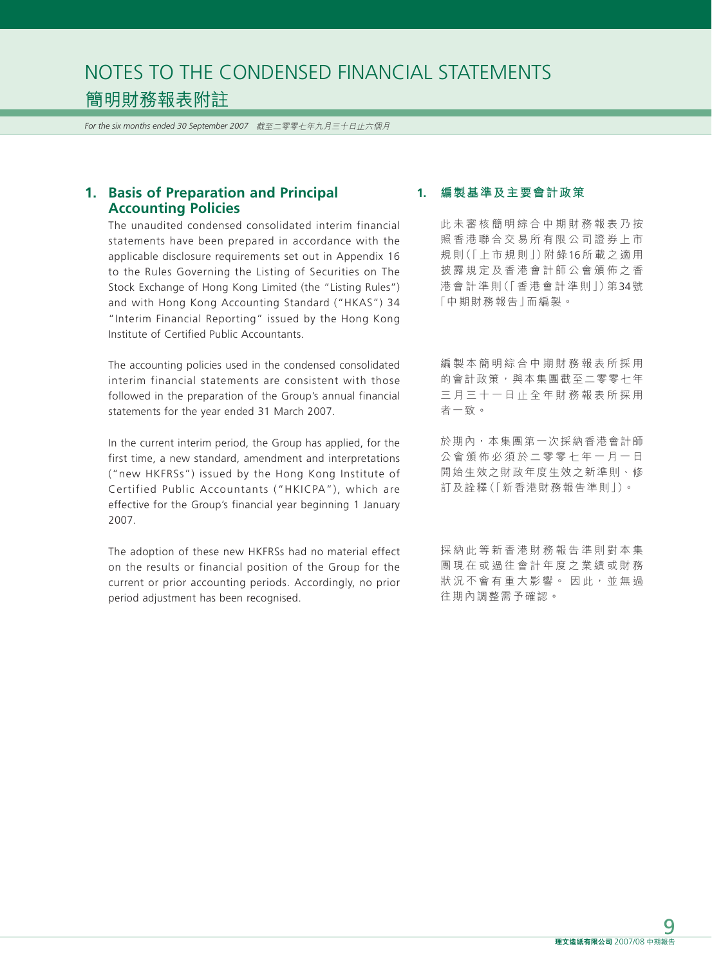*For the six months ended 30 September 2007* 截至二零零七年九月三十日止六個月

## **1. Basis of Preparation and Principal Accounting Policies**

The unaudited condensed consolidated interim financial statements have been prepared in accordance with the applicable disclosure requirements set out in Appendix 16 to the Rules Governing the Listing of Securities on The Stock Exchange of Hong Kong Limited (the "Listing Rules") and with Hong Kong Accounting Standard ("HKAS") 34 "Interim Financial Reporting" issued by the Hong Kong Institute of Certified Public Accountants.

The accounting policies used in the condensed consolidated interim financial statements are consistent with those followed in the preparation of the Group's annual financial statements for the year ended 31 March 2007.

In the current interim period, the Group has applied, for the first time, a new standard, amendment and interpretations ("new HKFRSs") issued by the Hong Kong Institute of Certified Public Accountants ("HKICPA"), which are effective for the Group's financial year beginning 1 January 2007.

The adoption of these new HKFRSs had no material effect on the results or financial position of the Group for the current or prior accounting periods. Accordingly, no prior period adjustment has been recognised.

#### **1. 編製基準及主要會計政策**

此未審核簡明綜合中期財務報表乃按 照香港聯合交易所有限公司證券上市 規 則(「上市規則」)附 錄16所載之適用 披露規定及香港會計師公會頒佈之香 港會計準則(「香港會計準則」)第34號 「中期財務報告」而編製。

編製本簡明綜合中期財務報表所採用 的會計政策,與本集團截至二零零七年 三月三十一日止全年財務報表所採用 者一致。

於期內,本集團第一次採納香港會計師 公會頒佈必須於二零零七年一月一日 開始生效之財政年度生效之新準則、修 訂及詮釋(「新香港財務報告準則」)。

採納此等新香港財務報告準則對本集 團現在或過往會計年度之業績或財務 狀況不會有重大影響。 因此, 並無過 往期內調整需予確認。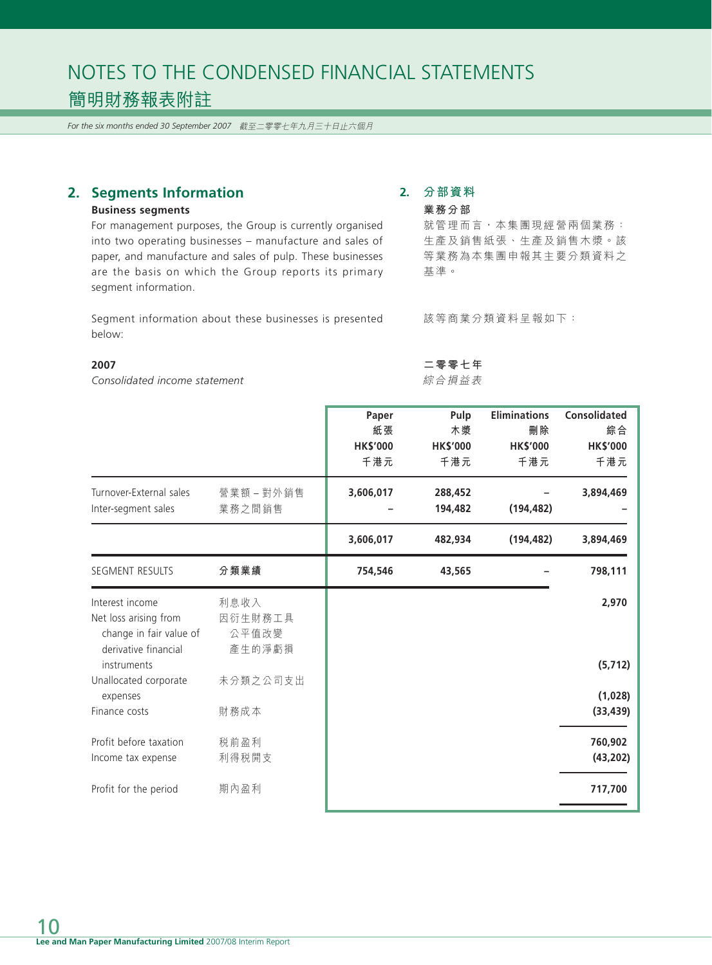*For the six months ended 30 September 2007* 截至二零零七年九月三十日止六個月

## **2. Segments Information**

#### **Business segments**

For management purposes, the Group is currently organised into two operating businesses – manufacture and sales of paper, and manufacture and sales of pulp. These businesses are the basis on which the Group reports its primary segment information.

Segment information about these businesses is presented below:

#### **2007**

*Consolidated income statement*

#### **2. 分部資料 業務分部**

**二零零七年** 綜合損益表

就管理而言,本集團現經營兩個業務:

生產及銷售紙張、生產及銷售木漿。該 等業務為本集團申報其主要分類資料之 基準。

該等商業分類資料呈報如下:

|                                     |            | Paper           | Pulp            | <b>Eliminations</b> | <b>Consolidated</b> |
|-------------------------------------|------------|-----------------|-----------------|---------------------|---------------------|
|                                     |            | 紙張              | 木漿              | 刪除                  | 綜合                  |
|                                     |            | <b>HK\$'000</b> | <b>HK\$'000</b> | <b>HK\$'000</b>     | <b>HK\$'000</b>     |
|                                     |            | 千港元             | 千港元             | 千港元                 | 千港元                 |
| Turnover-External sales             | 營業額 – 對外銷售 | 3,606,017       | 288,452         |                     | 3,894,469           |
| Inter-segment sales                 | 業務之間銷售     |                 | 194,482         | (194, 482)          |                     |
|                                     |            | 3,606,017       | 482,934         | (194, 482)          | 3,894,469           |
| <b>SEGMENT RESULTS</b>              | 分類業績       | 754,546         | 43,565          |                     | 798,111             |
| Interest income                     | 利息收入       |                 |                 |                     | 2,970               |
| Net loss arising from               | 因衍生財務工具    |                 |                 |                     |                     |
| change in fair value of             | 公平值改變      |                 |                 |                     |                     |
| derivative financial<br>instruments | 產生的淨虧損     |                 |                 |                     | (5, 712)            |
| Unallocated corporate               | 未分類之公司支出   |                 |                 |                     |                     |
| expenses                            |            |                 |                 |                     | (1,028)             |
| Finance costs                       | 財務成本       |                 |                 |                     | (33, 439)           |
| Profit before taxation              | 税前盈利       |                 |                 |                     | 760,902             |
| Income tax expense                  | 利得税開支      |                 |                 |                     | (43, 202)           |
| Profit for the period               | 期內盈利       |                 |                 |                     | 717,700             |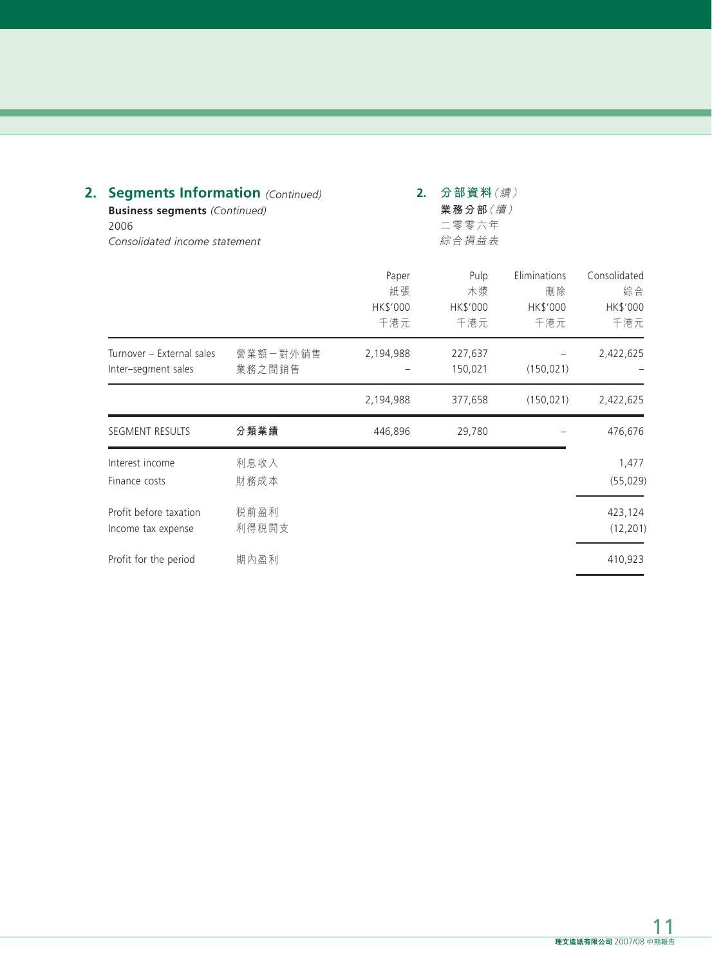| 2. | 2006                                             | <b>Segments Information</b> (Continued)<br><b>Business segments (Continued)</b><br>Consolidated income statement |                                |                               | 2.                                    |                                       |  | 分部資料(續)<br>業務分部(續)<br>二零零六年<br>綜合損益表 |  |
|----|--------------------------------------------------|------------------------------------------------------------------------------------------------------------------|--------------------------------|-------------------------------|---------------------------------------|---------------------------------------|--|--------------------------------------|--|
|    |                                                  |                                                                                                                  | Paper<br>紙張<br>HK\$'000<br>千港元 | Pulp<br>木漿<br>HK\$'000<br>千港元 | Eliminations<br>刪除<br>HK\$'000<br>千港元 | Consolidated<br>綜合<br>HK\$'000<br>千港元 |  |                                      |  |
|    | Turnover - External sales<br>Inter-segment sales | 營業額一對外銷售<br>業務之間銷售                                                                                               | 2,194,988                      | 227,637<br>150,021            | (150, 021)                            | 2,422,625                             |  |                                      |  |
|    |                                                  |                                                                                                                  | 2,194,988                      | 377,658                       | (150, 021)                            | 2,422,625                             |  |                                      |  |
|    | SEGMENT RESULTS                                  | 分類業績                                                                                                             | 446,896                        | 29,780                        |                                       | 476,676                               |  |                                      |  |
|    | Interest income<br>Finance costs                 | 利息收入<br>財務成本                                                                                                     |                                |                               |                                       | 1,477<br>(55, 029)                    |  |                                      |  |
|    | Profit before taxation<br>Income tax expense     | 税前盈利<br>利得税開支                                                                                                    |                                |                               |                                       | 423,124<br>(12, 201)                  |  |                                      |  |
|    | Profit for the period                            | 期內盈利                                                                                                             |                                |                               |                                       | 410,923                               |  |                                      |  |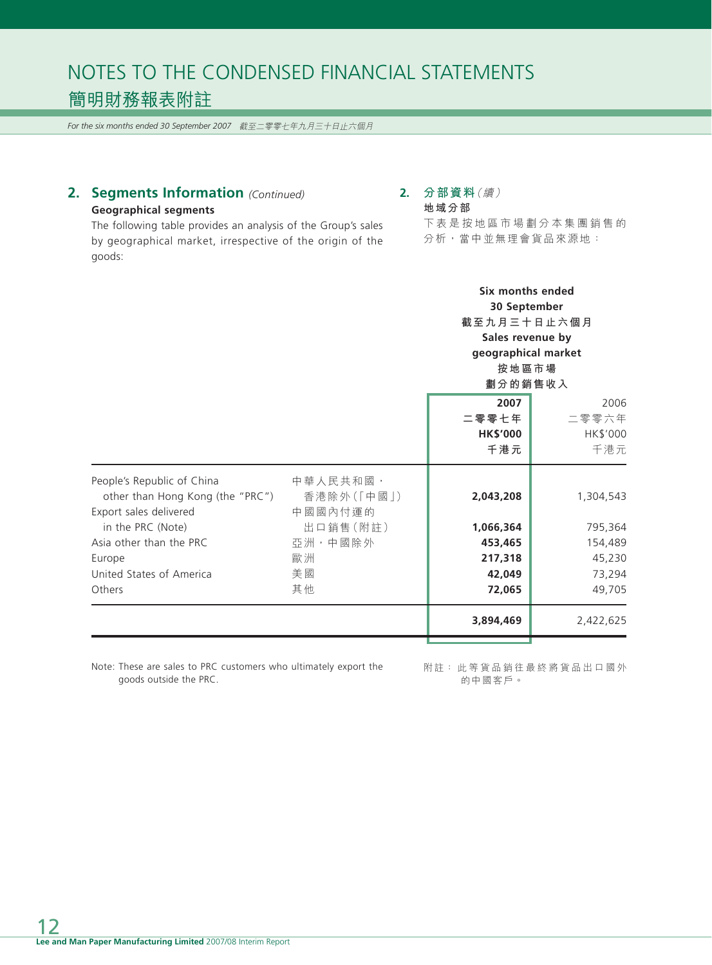*For the six months ended 30 September 2007* 截至二零零七年九月三十日止六個月

## **2. Segments Information** *(Continued)* **Geographical segments**

#### **2. 分部資料**(續) **地域分部**

The following table provides an analysis of the Group's sales by geographical market, irrespective of the origin of the goods:

下表是按地區市場劃分本集團銷售的 分析,當中並無理會貨品來源地:

> **Six months ended 30 September 截至九月三十日止六個月 Sales revenue by geographical market 按地區市場**

|                                                                                          |                                   | 劃分的銷售收入                                 |                                  |  |
|------------------------------------------------------------------------------------------|-----------------------------------|-----------------------------------------|----------------------------------|--|
|                                                                                          |                                   | 2007<br>二零零七年<br><b>HK\$'000</b><br>千港元 | 2006<br>二零零六年<br>HK\$'000<br>千港元 |  |
| People's Republic of China<br>other than Hong Kong (the "PRC")<br>Export sales delivered | 中華人民共和國,<br>香港除外(「中國」)<br>中國國內付運的 | 2,043,208                               | 1,304,543                        |  |
| in the PRC (Note)                                                                        | 出口銷售(附註)                          | 1,066,364                               | 795,364                          |  |
| Asia other than the PRC                                                                  | 亞洲,中國除外                           | 453,465                                 | 154,489                          |  |
| Europe                                                                                   | 歐洲                                | 217,318                                 | 45,230                           |  |
| United States of America                                                                 | 美國                                | 42,049                                  | 73,294                           |  |
| <b>Others</b>                                                                            | 其他                                | 72,065                                  | 49,705                           |  |
|                                                                                          |                                   | 3,894,469                               | 2,422,625                        |  |

Note: These are sales to PRC customers who ultimately export the goods outside the PRC.

附註: 此等貨品銷往最終將貨品出口國外 的中國客戶。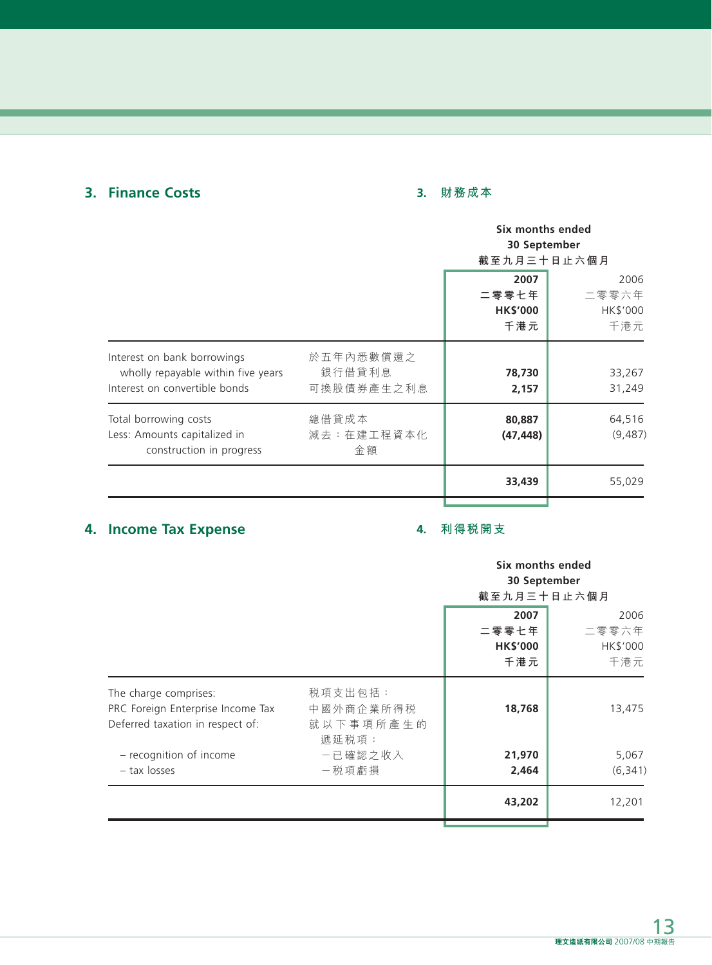## **3. Finance Costs**

## **3. 財務成本**

|                                                                                                    |                                   | Six months ended<br>30 September<br>截至九月三十日止六個月 |                                  |  |
|----------------------------------------------------------------------------------------------------|-----------------------------------|-------------------------------------------------|----------------------------------|--|
|                                                                                                    |                                   | 2007<br>二零零七年<br><b>HK\$'000</b><br>千港元         | 2006<br>二零零六年<br>HK\$'000<br>千港元 |  |
| Interest on bank borrowings<br>wholly repayable within five years<br>Interest on convertible bonds | 於五年內悉數償還之<br>銀行借貸利息<br>可換股債券產生之利息 | 78,730<br>2,157                                 | 33,267<br>31,249                 |  |
| Total borrowing costs<br>Less: Amounts capitalized in<br>construction in progress                  | 總借貸成本<br>減去:在建工程資本化<br>金額         | 80,887<br>(47, 448)                             | 64,516<br>(9,487)                |  |
|                                                                                                    |                                   | 33,439                                          | 55,029                           |  |

## **4. Income Tax Expense**

## **4. 利得稅開支**

|                                                                                                |                                            | Six months ended<br>30 September<br>截至九月三十日止六個月 |                                  |  |
|------------------------------------------------------------------------------------------------|--------------------------------------------|-------------------------------------------------|----------------------------------|--|
|                                                                                                |                                            | 2007<br>二零零七年<br><b>HK\$'000</b><br>千港元         | 2006<br>二零零六年<br>HK\$'000<br>千港元 |  |
| The charge comprises:<br>PRC Foreign Enterprise Income Tax<br>Deferred taxation in respect of: | 税項支出包括:<br>中國外商企業所得税<br>就以下事項所產生的<br>遞延税項: | 18,768                                          | 13,475                           |  |
| - recognition of income<br>- tax losses                                                        | 一已確認之收入<br>一税項虧損                           | 21,970<br>2,464                                 | 5,067<br>(6, 341)                |  |
|                                                                                                |                                            | 43,202                                          | 12,201                           |  |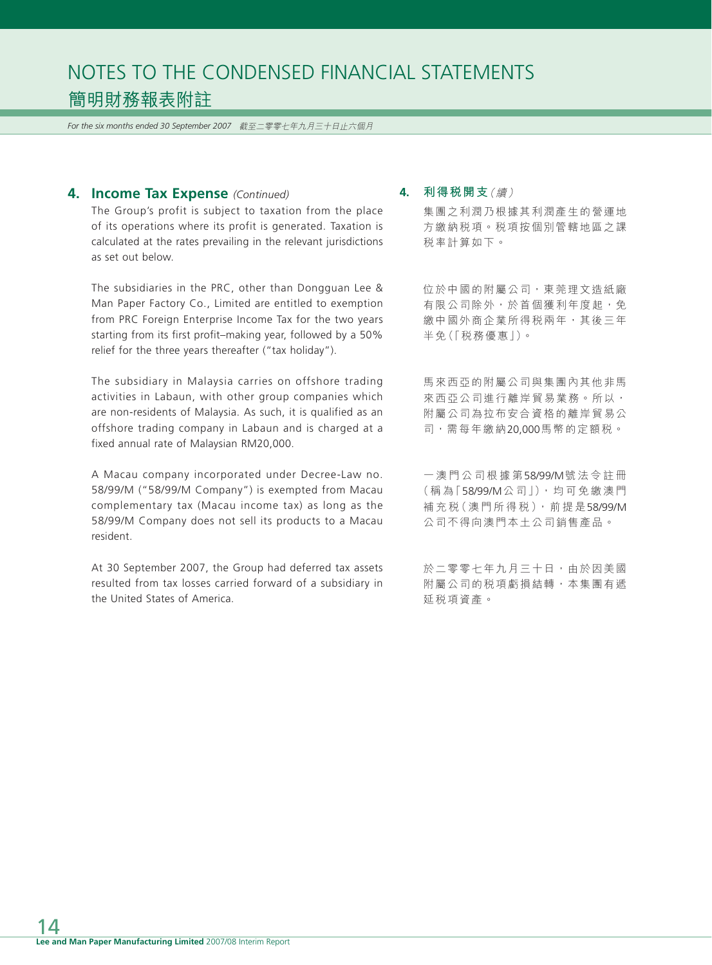*For the six months ended 30 September 2007* 截至二零零七年九月三十日止六個月

#### **4. Income Tax Expense** *(Continued)*

The Group's profit is subject to taxation from the place of its operations where its profit is generated. Taxation is calculated at the rates prevailing in the relevant jurisdictions as set out below.

The subsidiaries in the PRC, other than Dongguan Lee & Man Paper Factory Co., Limited are entitled to exemption from PRC Foreign Enterprise Income Tax for the two years starting from its first profit–making year, followed by a 50% relief for the three years thereafter ("tax holiday").

The subsidiary in Malaysia carries on offshore trading activities in Labaun, with other group companies which are non-residents of Malaysia. As such, it is qualified as an offshore trading company in Labaun and is charged at a fixed annual rate of Malaysian RM20,000.

A Macau company incorporated under Decree-Law no. 58/99/M ("58/99/M Company") is exempted from Macau complementary tax (Macau income tax) as long as the 58/99/M Company does not sell its products to a Macau resident.

At 30 September 2007, the Group had deferred tax assets resulted from tax losses carried forward of a subsidiary in the United States of America.

#### **4. 利得稅開支**(續)

集團之利潤乃根據其利潤產生的營運地 方繳納稅項。稅項按個別管轄地區之課 稅率計算如下。

位於中國的附屬公司,東莞理文造紙廠 有限公司除外,於首個獲利年度起,免 繳中國外商企業所得稅兩年,其後三年 半免(「稅務優惠」)。

馬來西亞的附屬公司與集團內其他非馬 來西亞公司進行離岸貿易業務。所以, 附屬公司為拉布安合資格的離岸貿易公 司,需每年繳納20,000馬幣的定額稅。

一澳門公司根據第58/99/M號法令註冊 (稱為「58/99/M公司」),均可免繳澳門 補充税(澳門所得税), 前提是58/99/M 公司不得向澳門本土公司銷售產品。

於二零零七年九月三十日,由於因美國 附屬公司的稅項虧損結轉,本集團有遞 延稅項資產。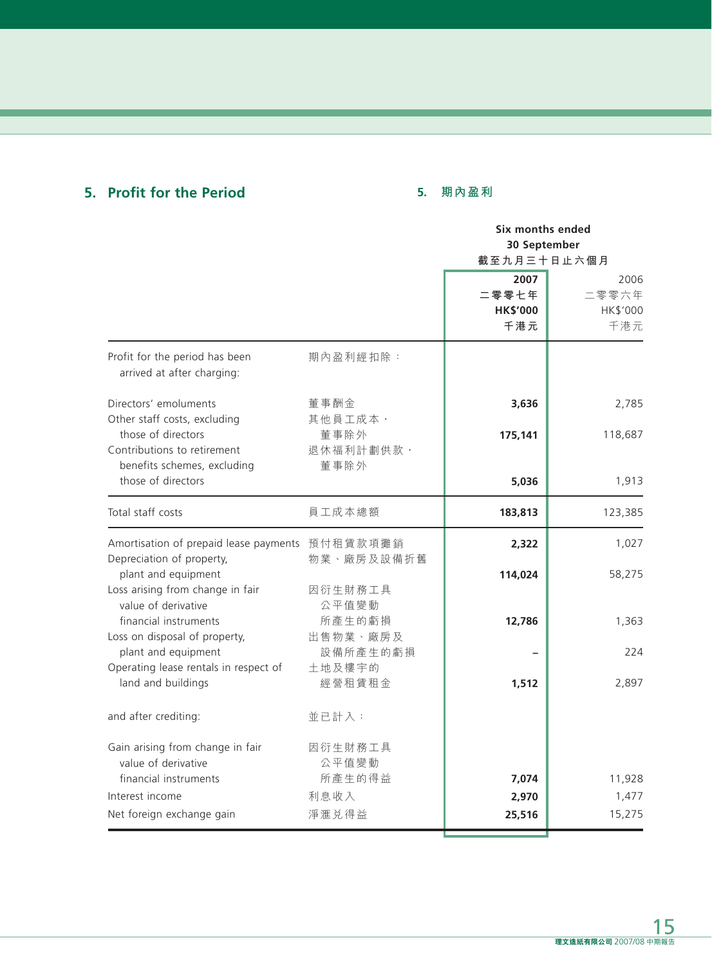## **5. Profit for the Period**

## **5. 期內盈利**

|                                                                                  |                           | Six months ended<br>30 September<br>截至九月三十日止六個月 |                                  |
|----------------------------------------------------------------------------------|---------------------------|-------------------------------------------------|----------------------------------|
|                                                                                  |                           |                                                 |                                  |
|                                                                                  |                           |                                                 |                                  |
|                                                                                  |                           | 2007<br>二零零七年<br><b>HK\$'000</b><br>千港元         | 2006<br>二零零六年<br>HK\$'000<br>千港元 |
| Profit for the period has been<br>arrived at after charging:                     | 期內盈利經扣除:                  |                                                 |                                  |
| Directors' emoluments<br>Other staff costs, excluding                            | 董事酬金<br>其他員工成本,           | 3,636                                           | 2,785                            |
| those of directors<br>Contributions to retirement<br>benefits schemes, excluding | 董事除外<br>退休福利計劃供款,<br>董事除外 | 175,141                                         | 118,687                          |
| those of directors                                                               |                           | 5,036                                           | 1,913                            |
| Total staff costs                                                                | 員工成本總額                    | 183,813                                         | 123,385                          |
| Amortisation of prepaid lease payments 預付租賃款項攤銷<br>Depreciation of property,     | 物業、廠房及設備折舊                | 2,322                                           | 1,027                            |
| plant and equipment<br>Loss arising from change in fair<br>value of derivative   | 因衍生財務工具<br>公平值變動          | 114,024                                         | 58,275                           |
| financial instruments<br>Loss on disposal of property,                           | 所產生的虧損<br>出售物業、廠房及        | 12,786                                          | 1,363                            |
| plant and equipment<br>Operating lease rentals in respect of                     | 設備所產生的虧損<br>土地及樓宇的        |                                                 | 224                              |
| land and buildings                                                               | 經營租賃租金                    | 1,512                                           | 2,897                            |
| and after crediting:                                                             | 並已計入:                     |                                                 |                                  |
| Gain arising from change in fair<br>value of derivative                          | 因衍生財務工具<br>公平值變動          |                                                 |                                  |
| financial instruments                                                            | 所產生的得益                    | 7,074                                           | 11,928                           |
| Interest income                                                                  | 利息收入                      | 2,970                                           | 1,477                            |
| Net foreign exchange gain                                                        | 淨滙兑得益                     | 25,516                                          | 15,275                           |
|                                                                                  |                           |                                                 |                                  |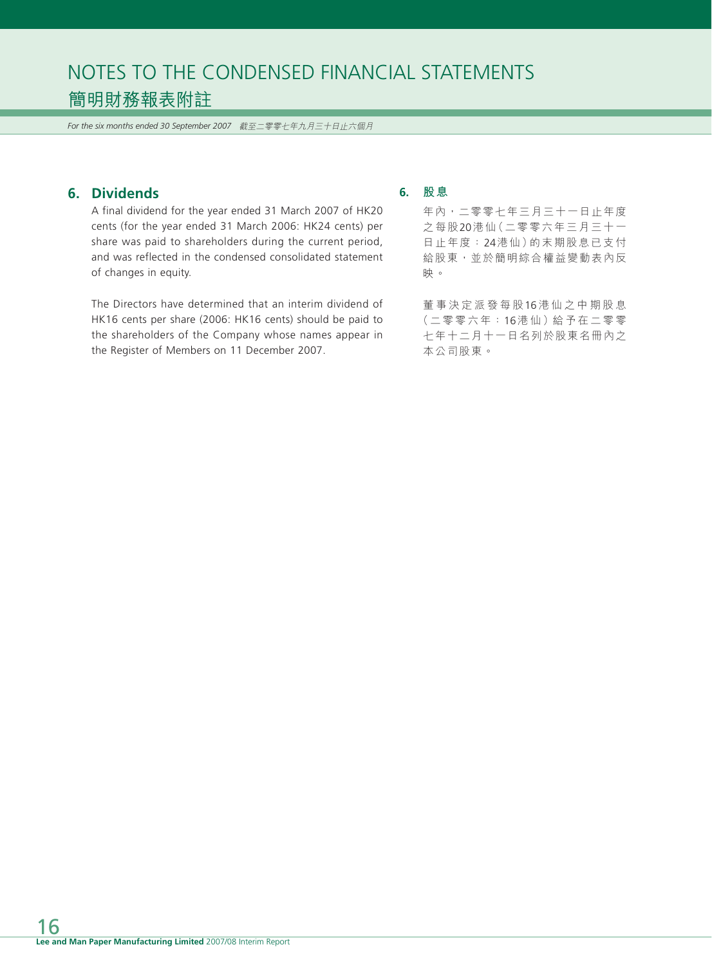*For the six months ended 30 September 2007* 截至二零零七年九月三十日止六個月

## **6. Dividends**

A final dividend for the year ended 31 March 2007 of HK20 cents (for the year ended 31 March 2006: HK24 cents) per share was paid to shareholders during the current period, and was reflected in the condensed consolidated statement of changes in equity.

The Directors have determined that an interim dividend of HK16 cents per share (2006: HK16 cents) should be paid to the shareholders of the Company whose names appear in the Register of Members on 11 December 2007.

### **6. 股息**

年內,二零零七年三月三十一日止年度 之每股20港仙(二零零六年三月三十一 日止年度: 24港仙)的末期股息已支付 給股東,並於簡明綜合權益變動表內反 映。

董事決定派發每股16 港仙之中期股息 (二零零六年:16港仙)給予在二零零 七年十二月十一日名列於股東名冊內之 本公司股東。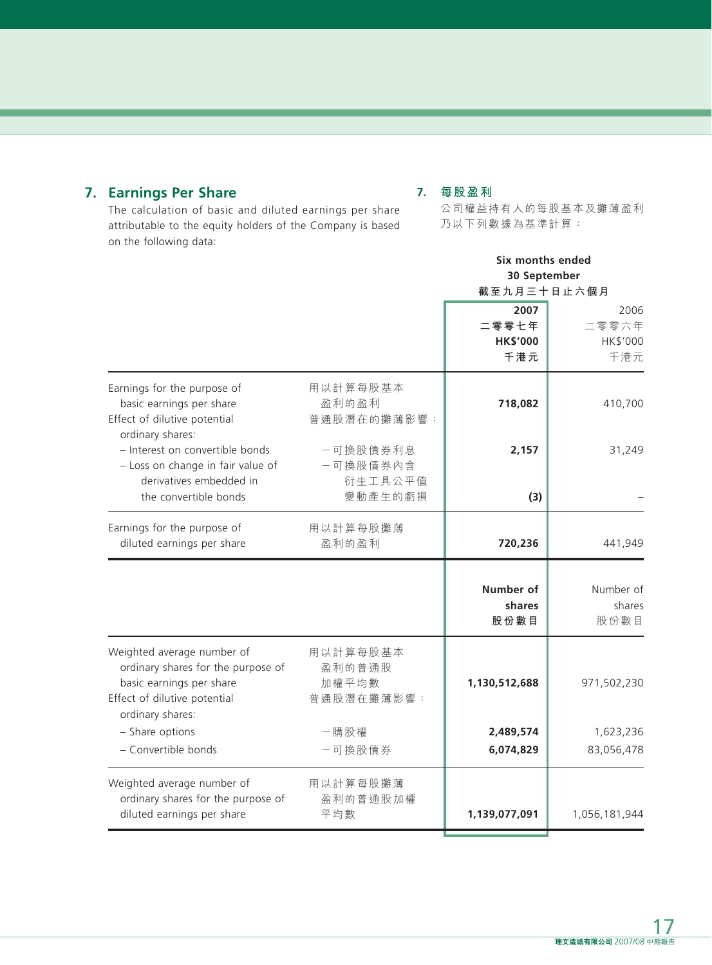## **7. Earnings Per Share**

## **7. 每股盈利**

The calculation of basic and diluted earnings per share attributable to the equity holders of the Company is based on the following data:

公司權益持有人的每股基本及攤薄盈利 乃以下列數據為基準計算:

|                                                                                                                                                  |                                            | Six months ended<br>30 September<br>截至九月三十日止六個月 |                                  |
|--------------------------------------------------------------------------------------------------------------------------------------------------|--------------------------------------------|-------------------------------------------------|----------------------------------|
|                                                                                                                                                  |                                            |                                                 |                                  |
|                                                                                                                                                  |                                            | 2007<br>二零零七年<br><b>HK\$'000</b><br>千港元         | 2006<br>二零零六年<br>HK\$'000<br>千港元 |
| Earnings for the purpose of<br>basic earnings per share<br>Effect of dilutive potential<br>ordinary shares:                                      | 用以計算每股基本<br>盈利的盈利<br>普通股潛在的攤薄影響:           | 718,082                                         | 410,700                          |
| - Interest on convertible bonds<br>- Loss on change in fair value of<br>derivatives embedded in<br>the convertible bonds                         | 一可換股債券利息<br>一可換股債券內含<br>衍生工具公平值<br>變動產生的虧損 | 2,157<br>(3)                                    | 31,249                           |
| Earnings for the purpose of<br>diluted earnings per share                                                                                        | 用以計算每股攤薄<br>盈利的盈利                          | 720,236                                         | 441,949                          |
|                                                                                                                                                  |                                            | Number of<br>shares<br>股份數目                     | Number of<br>shares<br>股份數目      |
| Weighted average number of<br>ordinary shares for the purpose of<br>basic earnings per share<br>Effect of dilutive potential<br>ordinary shares: | 用以計算每股基本<br>盈利的普通股<br>加權平均數<br>普通股潛在攤薄影響:  | 1,130,512,688                                   | 971,502,230                      |
| - Share options<br>- Convertible bonds                                                                                                           | 一購股權<br>一可換股債券                             | 2,489,574<br>6,074,829                          | 1,623,236<br>83,056,478          |
| Weighted average number of<br>ordinary shares for the purpose of<br>diluted earnings per share                                                   | 用以計算每股攤薄<br>盈利的普通股加權<br>平均數                | 1,139,077,091                                   | 1,056,181,944                    |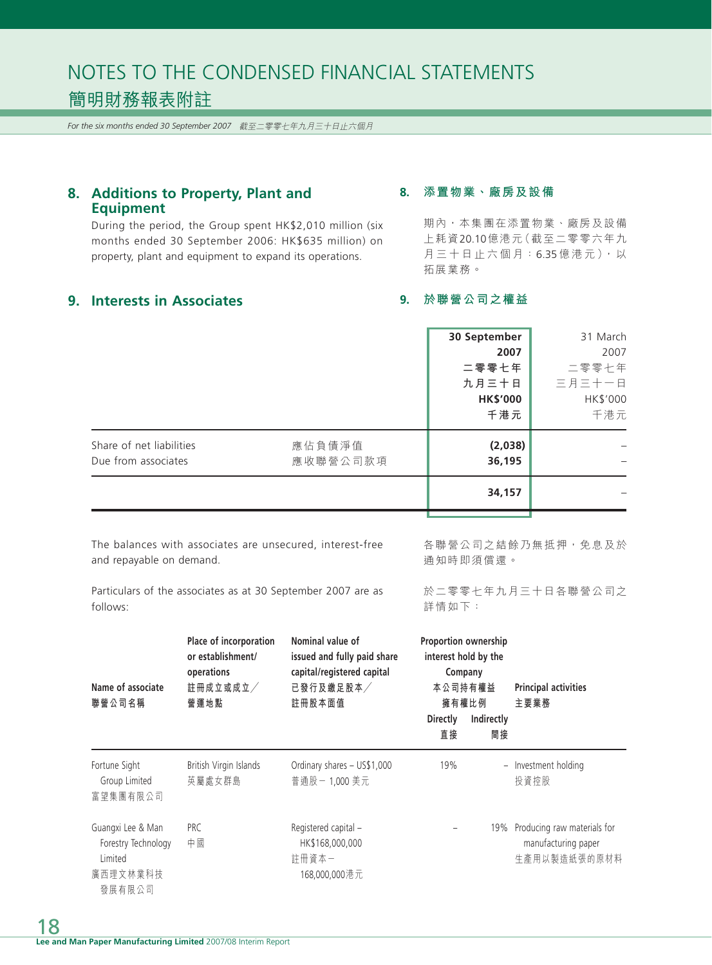*For the six months ended 30 September 2007* 截至二零零七年九月三十日止六個月

## **8. Additions to Property, Plant and Equipment**

During the period, the Group spent HK\$2,010 million (six months ended 30 September 2006: HK\$635 million) on property, plant and equipment to expand its operations.

## **9. Interests in Associates**

#### **8. 添置物業、廠房及設備**

期內,本集團在添置物業、廠房及設備 上耗資20.10億港元(截至二零零六年九 月三十日止六個月: 6.35億港元),以 拓展業務。

### **9. 於聯營公司之權益**

|                                                                       | 30 September<br>2007<br>二零零七年<br>九月三十日<br><b>HK\$'000</b><br>千港元 | 31 March<br>2007<br>二零零七年<br>三月三十一日<br>HK\$'000<br>千港元 |
|-----------------------------------------------------------------------|------------------------------------------------------------------|--------------------------------------------------------|
| Share of net liabilities<br>應佔負債淨值<br>應收聯營公司款項<br>Due from associates | (2,038)<br>36,195                                                |                                                        |
|                                                                       | 34,157                                                           |                                                        |

The balances with associates are unsecured, interest-free and repayable on demand.

各聯營公司之結餘乃無抵押,免息及於 通知時即須償還。

Particulars of the associates as at 30 September 2007 are as follows:

於二零零七年九月三十日各聯營公司之 詳情如下:

| Name of associate<br>聯營公司名稱                                               | Place of incorporation<br>or establishment/<br>operations<br>註冊成立或成立/<br>營運地點 | Nominal value of<br>issued and fully paid share<br>capital/registered capital<br>已發行及繳足股本<br>註冊股本面值 | <b>Proportion ownership</b><br>interest hold by the<br>Company<br>本公司持有權益<br>擁有權比例<br><b>Directly</b><br>Indirectly<br>直接<br>間接 | <b>Principal activities</b><br>主要業務                                    |
|---------------------------------------------------------------------------|-------------------------------------------------------------------------------|-----------------------------------------------------------------------------------------------------|---------------------------------------------------------------------------------------------------------------------------------|------------------------------------------------------------------------|
| Fortune Sight<br>Group Limited<br>富望集團有限公司                                | British Virgin Islands<br>英屬處女群島                                              | Ordinary shares - US\$1,000<br>普通股-1,000 美元                                                         | 19%                                                                                                                             | - Investment holding<br>投資控股                                           |
| Guangxi Lee & Man<br>Forestry Technology<br>Limited<br>廣西理文林業科技<br>發展有限公司 | PRC<br>中國                                                                     | Registered capital -<br>HK\$168,000,000<br>計冊資本−<br>168,000,000 港元                                  |                                                                                                                                 | 19% Producing raw materials for<br>manufacturing paper<br>生產用以製造紙張的原材料 |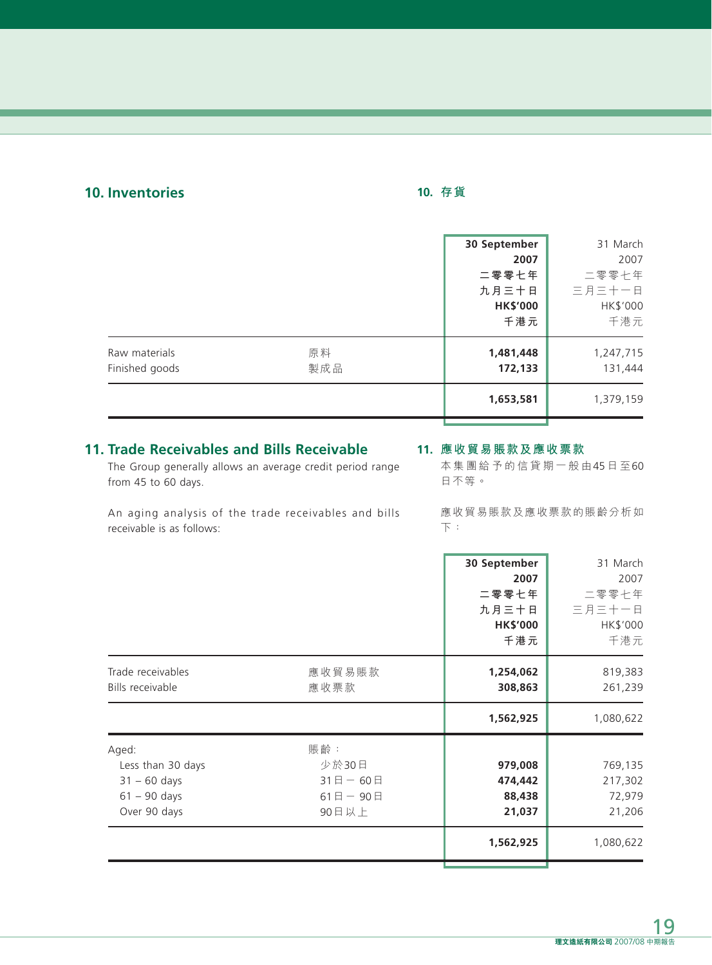## **10. Inventories**

## **10. 存貨**

|                                 |           | 30 September<br>2007<br>二零零七年<br>九月三十日<br><b>HK\$'000</b><br>千港元 | 31 March<br>2007<br>二零零七年<br>三月三十一日<br>HK\$'000<br>千港元 |
|---------------------------------|-----------|------------------------------------------------------------------|--------------------------------------------------------|
| Raw materials<br>Finished goods | 原料<br>製成品 | 1,481,448<br>172,133                                             | 1,247,715<br>131,444                                   |
|                                 |           | 1,653,581                                                        | 1,379,159                                              |

## **11. Trade Receivables and Bills Receivable**

The Group generally allows an average credit period range from 45 to 60 days.

#### **11. 應收貿易賬款及應收票款**

本集團給予的信貸期一般由45 日 至60 日不等。

An aging analysis of the trade receivables and bills receivable is as follows:

應收貿易賬款及應收票款的賬齡分析如 下:

|                                                                                                                                                      | 30 September<br>2007<br>二零零七年<br>九月三十日<br><b>HK\$'000</b><br>千港元 | 31 March<br>2007<br>二零零七年<br>三月三十一日<br>HK\$'000<br>千港元 |
|------------------------------------------------------------------------------------------------------------------------------------------------------|------------------------------------------------------------------|--------------------------------------------------------|
| Trade receivables<br>應收貿易賬款<br>Bills receivable<br>應收票款                                                                                              | 1,254,062<br>308,863                                             | 819,383<br>261,239                                     |
|                                                                                                                                                      | 1,562,925                                                        | 1,080,622                                              |
| 賬齡:<br>Aged:<br>Less than 30 days<br>少於30日<br>$31 - 60$ days<br>$31$ 日 - 60日<br>$61 - 90$ days<br>$61$ $\Box$ $-$ 90 $\Box$<br>Over 90 days<br>90日以上 | 979,008<br>474,442<br>88,438<br>21,037                           | 769,135<br>217,302<br>72,979<br>21,206                 |
|                                                                                                                                                      | 1,562,925                                                        | 1,080,622                                              |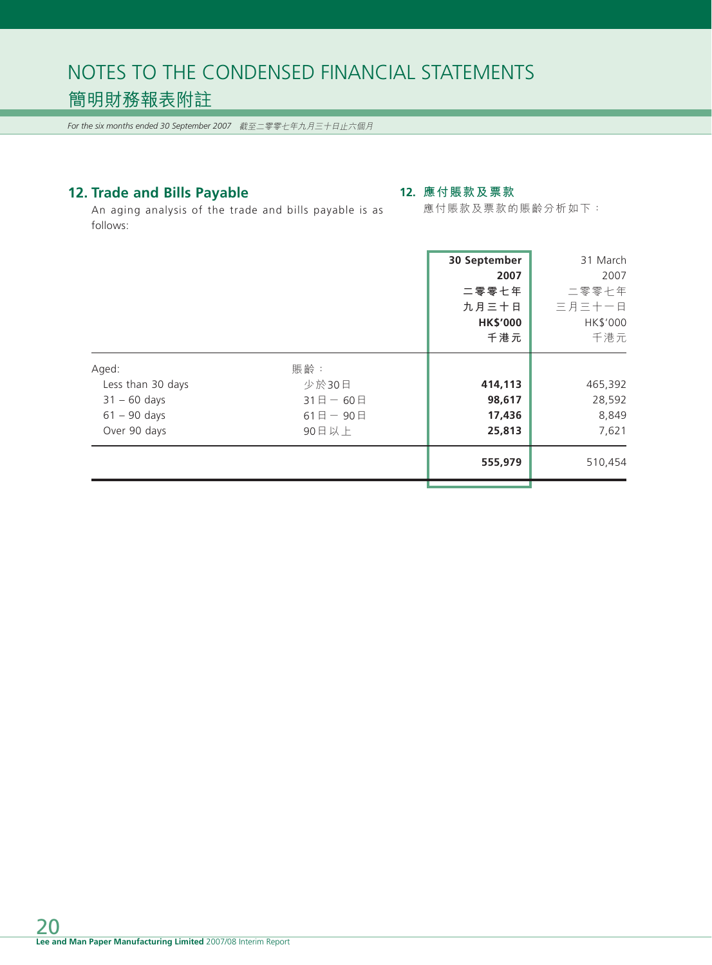*For the six months ended 30 September 2007* 截至二零零七年九月三十日止六個月

## **12. Trade and Bills Payable**

### **12. 應付賬款及票款**

應付賬款及票款的賬齡分析如下:

An aging analysis of the trade and bills payable is as follows:

|                                                                                |                                                                                 | 30 September<br>2007<br>二零零七年<br>九月三十日<br><b>HK\$'000</b><br>千港元 | 31 March<br>2007<br>二零零七年<br>三月三十一日<br>HK\$'000<br>千港元 |
|--------------------------------------------------------------------------------|---------------------------------------------------------------------------------|------------------------------------------------------------------|--------------------------------------------------------|
| Aged:<br>Less than 30 days<br>$31 - 60$ days<br>$61 - 90$ days<br>Over 90 days | 賬齡:<br>少於30日<br>$31$ $\Box$ $-$ 60 $\Box$<br>$61$ $\Box$ $-$ 90 $\Box$<br>90日以上 | 414,113<br>98,617<br>17,436<br>25,813                            | 465,392<br>28,592<br>8,849<br>7,621                    |
|                                                                                |                                                                                 | 555,979                                                          | 510,454                                                |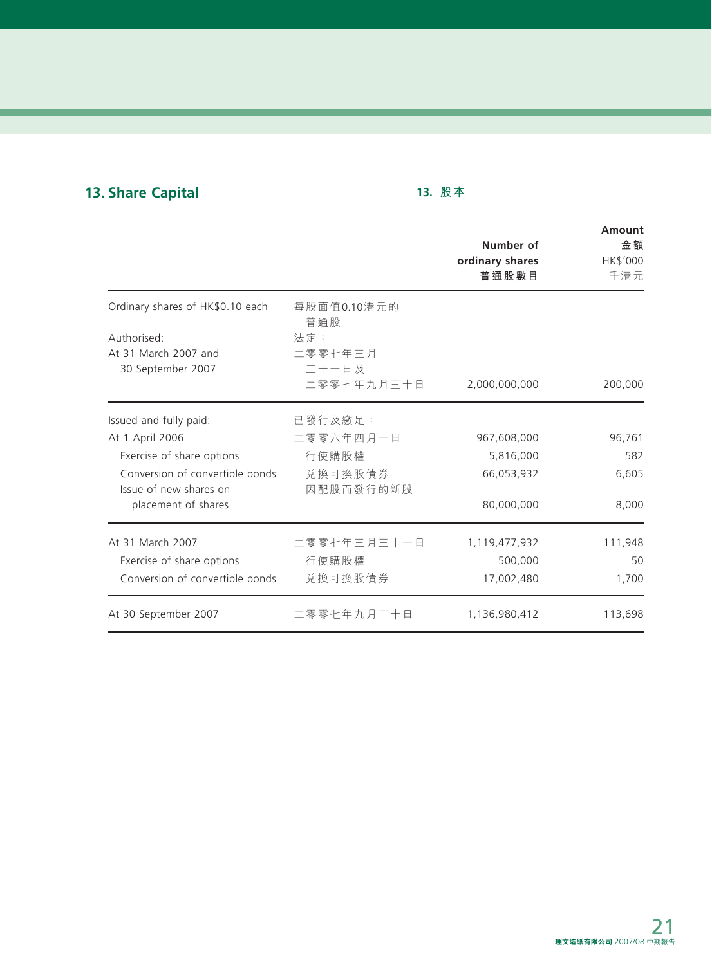## **13. Share Capital**

## **13. 股本**

|                                  |             | Number of<br>ordinary shares<br>普通股數目 | <b>Amount</b><br>金額<br>HK\$'000<br>千港元 |
|----------------------------------|-------------|---------------------------------------|----------------------------------------|
| Ordinary shares of HK\$0.10 each | 每股面值0.10港元的 |                                       |                                        |
| Authorised:                      | 普通股<br>法定:  |                                       |                                        |
| At 31 March 2007 and             | 二零零七年三月     |                                       |                                        |
| 30 September 2007                | 三十一日及       |                                       |                                        |
|                                  | 二零零七年九月三十日  | 2,000,000,000                         | 200,000                                |
| Issued and fully paid:           | 已發行及繳足:     |                                       |                                        |
| At 1 April 2006                  | 二零零六年四月一日   | 967,608,000                           | 96,761                                 |
| Exercise of share options        | 行使購股權       | 5,816,000                             | 582                                    |
| Conversion of convertible bonds  | 兑换可换股債券     | 66,053,932                            | 6,605                                  |
| Issue of new shares on           | 因配股而發行的新股   |                                       |                                        |
| placement of shares              |             | 80,000,000                            | 8,000                                  |
| At 31 March 2007                 | 二零零七年三月三十一日 | 1,119,477,932                         | 111,948                                |
| Exercise of share options        | 行使購股權       | 500,000                               | 50                                     |
| Conversion of convertible bonds  | 兑换可换股債券     | 17,002,480                            | 1,700                                  |
| At 30 September 2007             | 二零零七年九月三十日  | 1,136,980,412                         | 113,698                                |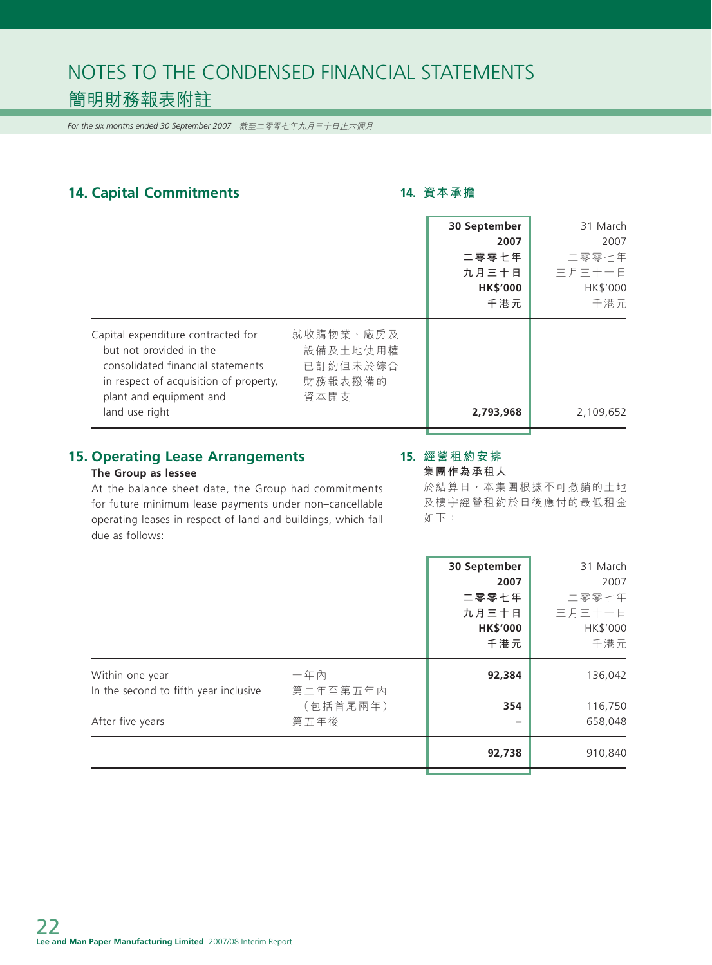*For the six months ended 30 September 2007* 截至二零零七年九月三十日止六個月

## 14. Capital Commitments **14. 2010** 14. 資本承擔

|                                                                                                                                                                                           |                                                      | 30 September<br>2007<br>二零零七年<br>九月三十日<br><b>HK\$'000</b><br>千港元 | 31 March<br>2007<br>二零零七年<br>三月三十一日<br><b>HK\$'000</b><br>千港元 |
|-------------------------------------------------------------------------------------------------------------------------------------------------------------------------------------------|------------------------------------------------------|------------------------------------------------------------------|---------------------------------------------------------------|
| Capital expenditure contracted for<br>but not provided in the<br>consolidated financial statements<br>in respect of acquisition of property,<br>plant and equipment and<br>land use right | 就收購物業、廠房及<br>設備及土地使用權<br>已訂約但未於綜合<br>財務報表撥備的<br>資本開支 | 2,793,968                                                        | 2,109,652                                                     |

## **15. Operating Lease Arrangements**

### **The Group as lessee**

## **15. 經營租約安排**

**集團作為承租人**

At the balance sheet date, the Group had commitments for future minimum lease payments under non–cancellable operating leases in respect of land and buildings, which fall due as follows:

於結算日,本集團根據不可撤銷的土地 及樓宇經營租約於日後應付的最低租金 如下:

|                                       |                      | 30 September<br>2007<br>二零零七年<br>九月三十日<br><b>HK\$'000</b><br>千港元 | 31 March<br>2007<br>二零零七年<br>三月三十一日<br>HK\$'000<br>千港元 |
|---------------------------------------|----------------------|------------------------------------------------------------------|--------------------------------------------------------|
| Within one year                       | 一年內                  | 92,384                                                           | 136,042                                                |
| In the second to fifth year inclusive | 第二年至第五年內<br>(包括首尾兩年) | 354                                                              | 116,750                                                |
| After five years                      | 第五年後                 |                                                                  | 658,048                                                |
|                                       |                      | 92,738                                                           | 910,840                                                |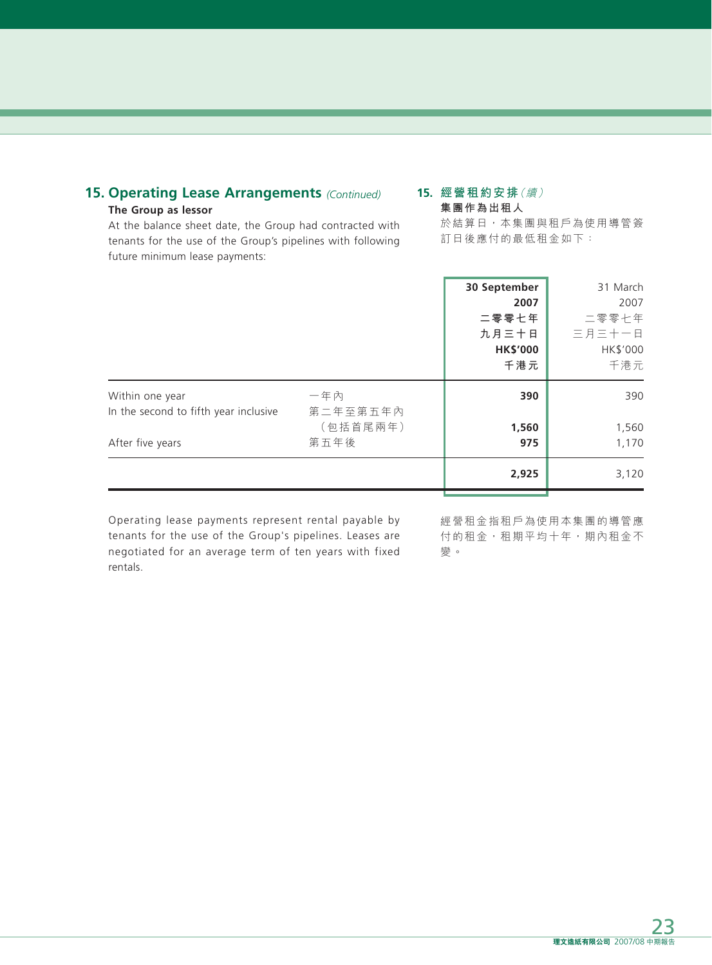## **15. Operating Lease Arrangements** *(Continued)* **The Group as lessor**

#### **15. 經營租約安排**(續) **集團作為出租人**

At the balance sheet date, the Group had contracted with tenants for the use of the Group's pipelines with following future minimum lease payments:

於結算日,本集團與租戶為使用導管簽 訂日後應付的最低租金如下:

|                                                          |                  | 30 September<br>2007<br>二零零七年<br>九月三十日<br><b>HK\$'000</b><br>千港元 | 31 March<br>2007<br>二零零七年<br>三月三十一日<br>HK\$'000<br>千港元 |
|----------------------------------------------------------|------------------|------------------------------------------------------------------|--------------------------------------------------------|
| Within one year<br>In the second to fifth year inclusive | 一年內<br>第二年至第五年內  | 390                                                              | 390                                                    |
| After five years                                         | (包括首尾兩年)<br>第五年後 | 1,560<br>975                                                     | 1,560<br>1,170                                         |
|                                                          |                  | 2,925                                                            | 3,120                                                  |

Operating lease payments represent rental payable by tenants for the use of the Group's pipelines. Leases are negotiated for an average term of ten years with fixed rentals.

經營租金指租戶為使用本集團的導管應 付的租金,租期平均十年,期內租金不 變。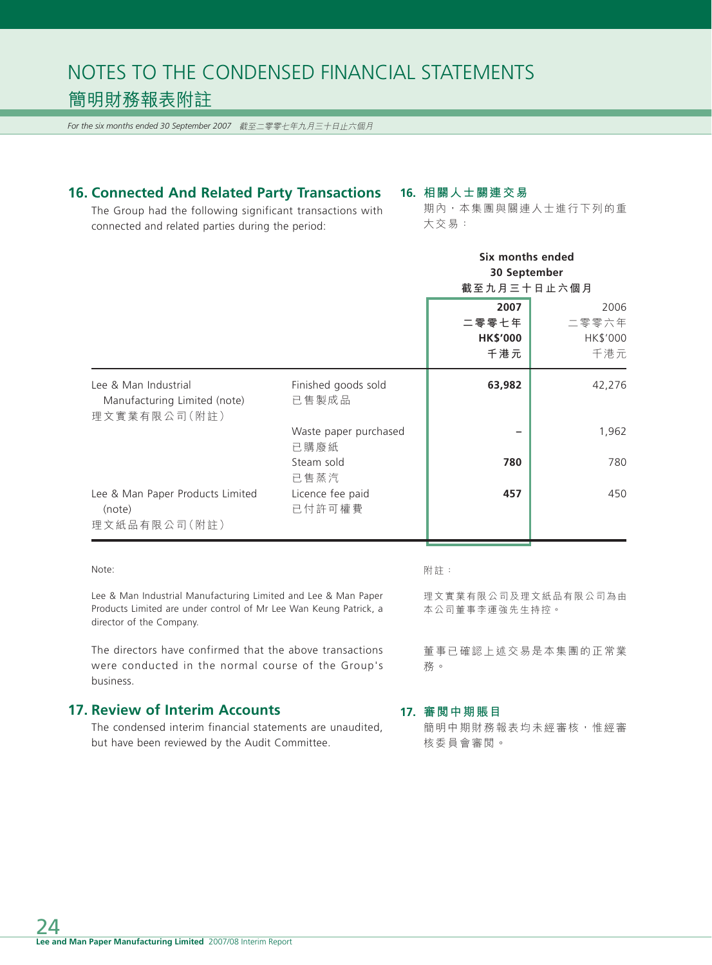*For the six months ended 30 September 2007* 截至二零零七年九月三十日止六個月

## **16. Connected And Related Party Transactions**

**16. 相關人士關連交易**

The Group had the following significant transactions with connected and related parties during the period:

期內,本集團與關連人士進行下列的重 大交易:

|                                                                      |                               | Six months ended<br>30 September<br>截至九月三十日止六個月 |                                  |
|----------------------------------------------------------------------|-------------------------------|-------------------------------------------------|----------------------------------|
|                                                                      |                               | 2007<br>二零零七年<br><b>HK\$'000</b><br>千港元         | 2006<br>二零零六年<br>HK\$'000<br>千港元 |
| Lee & Man Industrial<br>Manufacturing Limited (note)<br>理文實業有限公司(附註) | Finished goods sold<br>已售製成品  | 63,982                                          | 42,276                           |
|                                                                      | Waste paper purchased<br>已購廢紙 |                                                 | 1,962                            |
|                                                                      | Steam sold<br>已售蒸汽            | 780                                             | 780                              |
| Lee & Man Paper Products Limited<br>(note)<br>理文紙品有限公司(附註)           | Licence fee paid<br>已付許可權費    | 457                                             | 450                              |

#### Note:

Lee & Man Industrial Manufacturing Limited and Lee & Man Paper Products Limited are under control of Mr Lee Wan Keung Patrick, a director of the Company.

The directors have confirmed that the above transactions were conducted in the normal course of the Group's business.

### **17. Review of Interim Accounts**

The condensed interim financial statements are unaudited, but have been reviewed by the Audit Committee.

#### 附註:

理文實業有限公司及理文紙品有限公司為由 本公司董事李運強先生持控。

董事已確認上述交易是本集團的正常業 務。

#### **17. 審閱中期賬目**

簡明中期財務報表均未經審核,惟經審 核委員會審閱。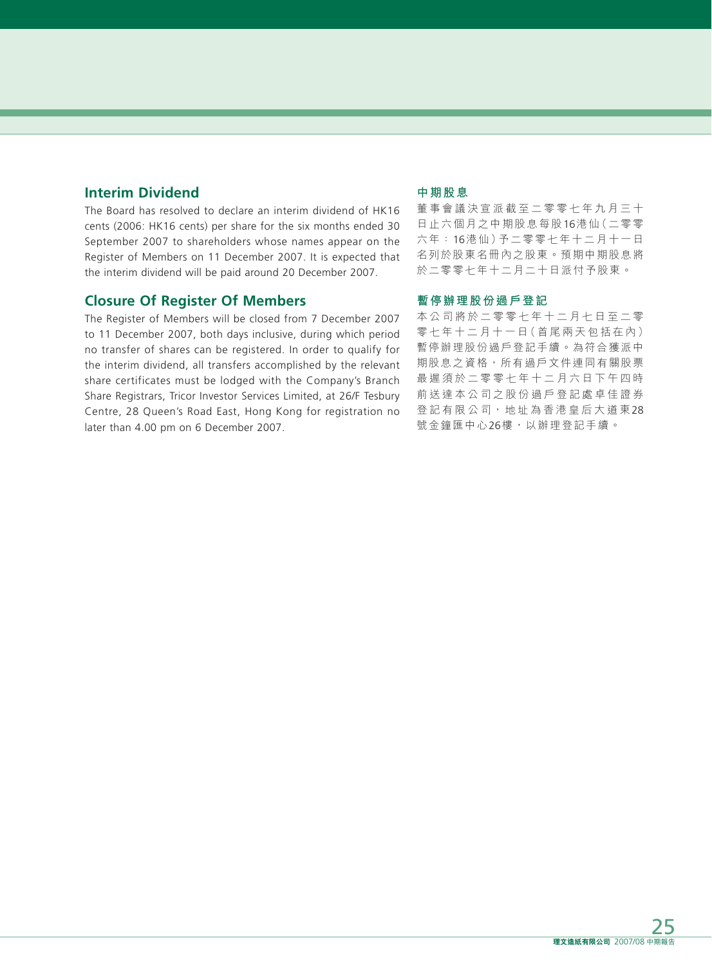## **Interim Dividend**

The Board has resolved to declare an interim dividend of HK16 cents (2006: HK16 cents) per share for the six months ended 30 September 2007 to shareholders whose names appear on the Register of Members on 11 December 2007. It is expected that the interim dividend will be paid around 20 December 2007.

### **Closure Of Register Of Members**

The Register of Members will be closed from 7 December 2007 to 11 December 2007, both days inclusive, during which period no transfer of shares can be registered. In order to qualify for the interim dividend, all transfers accomplished by the relevant share certificates must be lodged with the Company's Branch Share Registrars, Tricor Investor Services Limited, at 26/F Tesbury Centre, 28 Queen's Road East, Hong Kong for registration no later than 4.00 pm on 6 December 2007.

#### **中期股息**

董事會議決宣派截至二零零七年九月三十 日止六個月之中期股息每股16港仙(二零零 六年: 16港仙)予二零零七年十二月十一日 名列於股東名冊內之股東。預期中期股息將 於二零零七年十二月二十日派付予股東。

#### **暫停辦理股份過戶登記**

本公司將於二零零七年十二月七日至二零 零七年十二月十一日(首尾兩天包括在內) 暫停辦理股份過戶登記手續。為符合獲派中 期股息之資格,所有過戶文件連同有關股票 最遲須於二零零七年十二月六日下午四時 前送達本公司之股份過戶登記處卓佳證券 登記有限公司,地址為香港皇后大道東28 號金鐘匯中心26樓,以辦理登記手續。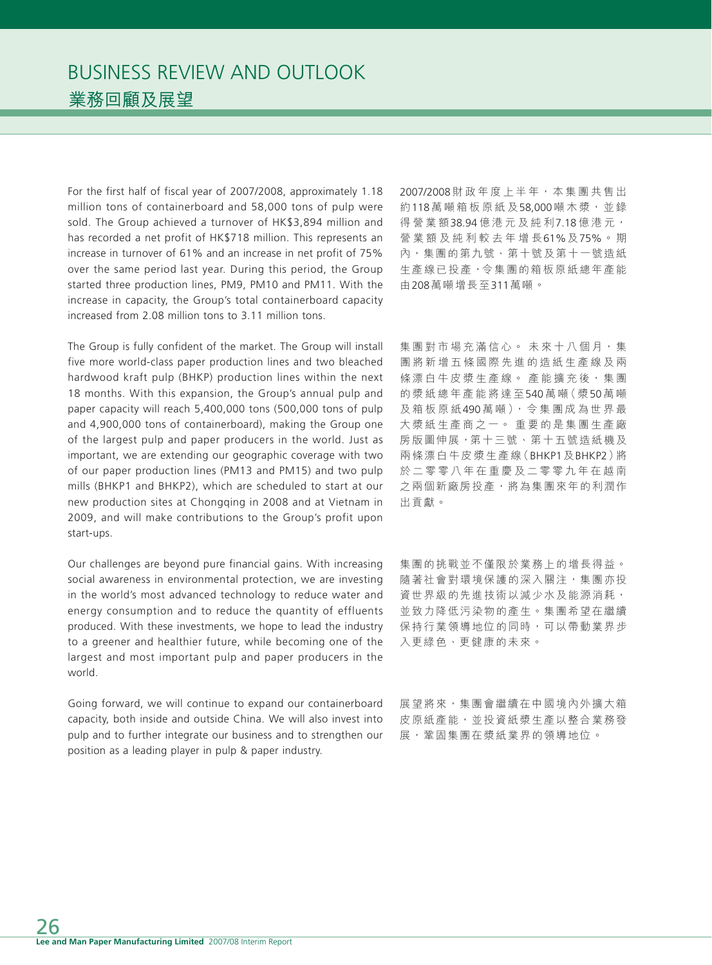For the first half of fiscal year of 2007/2008, approximately 1.18 million tons of containerboard and 58,000 tons of pulp were sold. The Group achieved a turnover of HK\$3,894 million and has recorded a net profit of HK\$718 million. This represents an increase in turnover of 61% and an increase in net profit of 75% over the same period last year. During this period, the Group started three production lines, PM9, PM10 and PM11. With the increase in capacity, the Group's total containerboard capacity increased from 2.08 million tons to 3.11 million tons.

The Group is fully confident of the market. The Group will install five more world-class paper production lines and two bleached hardwood kraft pulp (BHKP) production lines within the next 18 months. With this expansion, the Group's annual pulp and paper capacity will reach 5,400,000 tons (500,000 tons of pulp and 4,900,000 tons of containerboard), making the Group one of the largest pulp and paper producers in the world. Just as important, we are extending our geographic coverage with two of our paper production lines (PM13 and PM15) and two pulp mills (BHKP1 and BHKP2), which are scheduled to start at our new production sites at Chongqing in 2008 and at Vietnam in 2009, and will make contributions to the Group's profit upon start-ups.

Our challenges are beyond pure financial gains. With increasing social awareness in environmental protection, we are investing in the world's most advanced technology to reduce water and energy consumption and to reduce the quantity of effluents produced. With these investments, we hope to lead the industry to a greener and healthier future, while becoming one of the largest and most important pulp and paper producers in the world.

Going forward, we will continue to expand our containerboard capacity, both inside and outside China. We will also invest into pulp and to further integrate our business and to strengthen our position as a leading player in pulp & paper industry.

2007/2008 財政年度上半年, 本集團共售出 約118萬噸箱板原紙及58,000噸木漿,並錄 得營業額38.94 億港元及純利7.18 億港元, 營業額及純利較去年增長61%及75%。 期 內,集團的第九號、第十號及第十一號造紙 生產線已投產,令集團的箱板原紙總年產能 由208萬噸增長至311萬噸。

集團對市場充滿信心。 未來十八個月,集 團將新增五條國際先進的造紙生產線及兩 條漂白牛皮漿生產線。產能擴充後,集團 的漿紙總年產能將達至540萬 噸(漿50萬 噸 及箱板原紙490 萬噸),令集團成為世界最 大漿紙生產商之一。 重要的是集團生產廠 房版圖伸展,第十三號、第十五號造紙機及 兩條漂白牛皮漿生產線(BHKP1及BHKP2)將 於二零零八年在重慶及二零零九年在越南 之兩個新廠房投產,將為集團來年的利潤作 出貢獻。

集團的挑戰並不僅限於業務上的增長得益。 隨著社會對環境保護的深入關注,集團亦投 資世界級的先進技術以減少水及能源消耗, 並致力降低污染物的產生。集團希望在繼續 保持行業領導地位的同時,可以帶動業界步 入更綠色、更健康的未來。

展望將來,集團會繼續在中國境內外擴大箱 皮原紙產能,並投資紙漿生產以整合業務發 展,鞏固集團在漿紙業界的領導地位。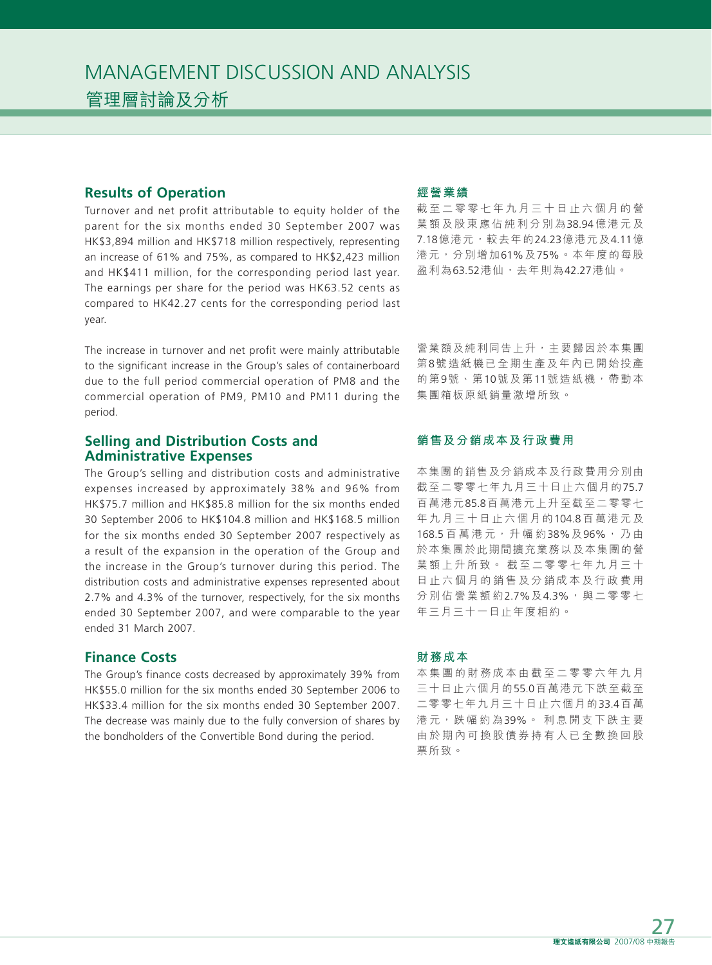MANAGEMENT DISCUSSION AND ANALYSIS 管理層討論及分析

#### **Results of Operation**

Turnover and net profit attributable to equity holder of the parent for the six months ended 30 September 2007 was HK\$3,894 million and HK\$718 million respectively, representing an increase of 61% and 75%, as compared to HK\$2,423 million and HK\$411 million, for the corresponding period last year. The earnings per share for the period was HK63.52 cents as compared to HK42.27 cents for the corresponding period last year.

The increase in turnover and net profit were mainly attributable to the significant increase in the Group's sales of containerboard due to the full period commercial operation of PM8 and the commercial operation of PM9, PM10 and PM11 during the period.

### **Selling and Distribution Costs and Administrative Expenses**

The Group's selling and distribution costs and administrative expenses increased by approximately 38% and 96% from HK\$75.7 million and HK\$85.8 million for the six months ended 30 September 2006 to HK\$104.8 million and HK\$168.5 million for the six months ended 30 September 2007 respectively as a result of the expansion in the operation of the Group and the increase in the Group's turnover during this period. The distribution costs and administrative expenses represented about 2.7% and 4.3% of the turnover, respectively, for the six months ended 30 September 2007, and were comparable to the year ended 31 March 2007.

### **Finance Costs**

The Group's finance costs decreased by approximately 39% from HK\$55.0 million for the six months ended 30 September 2006 to HK\$33.4 million for the six months ended 30 September 2007. The decrease was mainly due to the fully conversion of shares by the bondholders of the Convertible Bond during the period.

### **經營業績**

截至二零零七年九月三十日止六個月的營 業額及股東應佔純利分別為38.94億港元及 7.18億港元,較去年的24.23億港元及4.11億 港元,分別增加61%及75%。本年度的每股 盈利為63.52港仙,去年則為42.27港仙。

營業額及純利同告上升,主要歸因於本集團 第8號造紙機已全期生產及年內已開始投產 的第9號、第10號及第11號造紙機,帶動本 集團箱板原紙銷量激增所致。

### **銷售及分銷成本及行政費用**

本集團的銷售及分銷成本及行政費用分別由 截至二零零七年九月三十日止六個月的75.7 百萬港元85.8百萬港元上升至截至二零零七 年九月三十日止六個月的104.8百萬港元及 168.5 百萬港元,升幅約38%及96%,乃由 於本集團於此期間擴充業務以及本集團的營 業額上升所致。 截至二零零七年九月三十 日止六個月的銷售及分銷成本及行政費用 分別佔營業額約2.7%及4.3%,與二零零七 年三月三十一日止年度相約。

#### **財務成本**

本集團的財務成本由截至二零零六年九月 三十日止六個月的55.0百萬港元下跌至截至 二零零七年九月三十日止六個月的33.4百萬 港元,跌幅約為39%。 利息開支下跌主要 由於期內可換股債券持有人已全數換回股 票所致。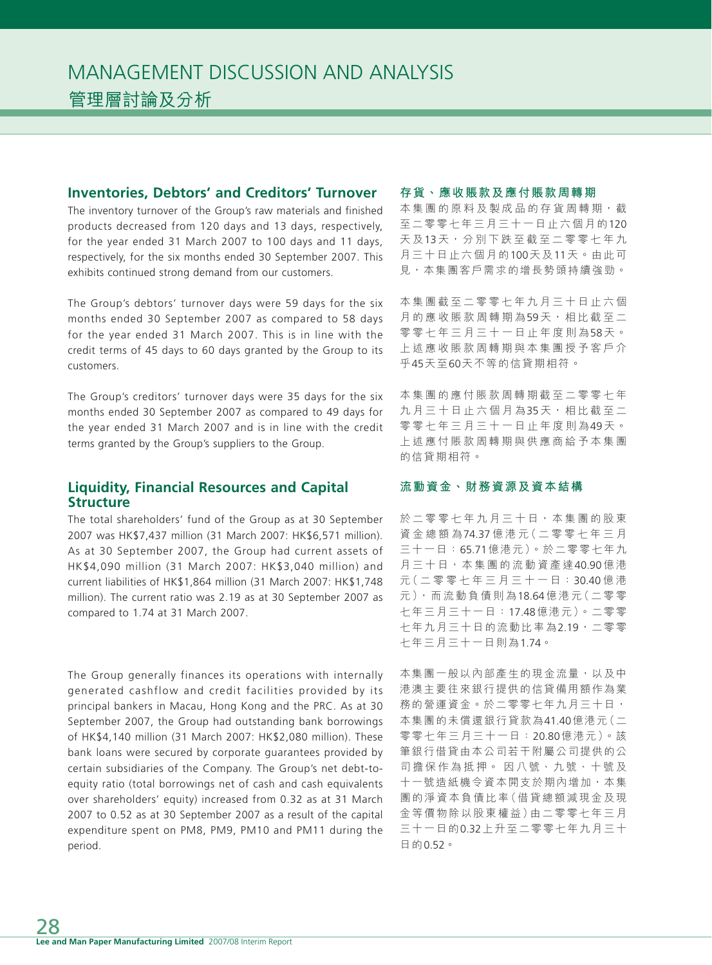#### **Inventories, Debtors' and Creditors' Turnover**

The inventory turnover of the Group's raw materials and finished products decreased from 120 days and 13 days, respectively, for the year ended 31 March 2007 to 100 days and 11 days, respectively, for the six months ended 30 September 2007. This exhibits continued strong demand from our customers.

The Group's debtors' turnover days were 59 days for the six months ended 30 September 2007 as compared to 58 days for the year ended 31 March 2007. This is in line with the credit terms of 45 days to 60 days granted by the Group to its customers.

The Group's creditors' turnover days were 35 days for the six months ended 30 September 2007 as compared to 49 days for the year ended 31 March 2007 and is in line with the credit terms granted by the Group's suppliers to the Group.

## **Liquidity, Financial Resources and Capital Structure**

The total shareholders' fund of the Group as at 30 September 2007 was HK\$7,437 million (31 March 2007: HK\$6,571 million). As at 30 September 2007, the Group had current assets of HK\$4,090 million (31 March 2007: HK\$3,040 million) and current liabilities of HK\$1,864 million (31 March 2007: HK\$1,748 million). The current ratio was 2.19 as at 30 September 2007 as compared to 1.74 at 31 March 2007.

The Group generally finances its operations with internally generated cashflow and credit facilities provided by its principal bankers in Macau, Hong Kong and the PRC. As at 30 September 2007, the Group had outstanding bank borrowings of HK\$4,140 million (31 March 2007: HK\$2,080 million). These bank loans were secured by corporate guarantees provided by certain subsidiaries of the Company. The Group's net debt-toequity ratio (total borrowings net of cash and cash equivalents over shareholders' equity) increased from 0.32 as at 31 March 2007 to 0.52 as at 30 September 2007 as a result of the capital expenditure spent on PM8, PM9, PM10 and PM11 during the period.

#### **存貨、應收賬款及應付賬款周轉期**

本集團的原料及製成品的存貨周轉期,截 至二零零七年三月三十一日止六個月的120 天及13天,分別下跌至截至二零零七年九 月三十日止六個月的100天及11天。由此可 見,本集團客戶需求的增長勢頭持續強勁。

本集團截至二零零七年九月三十日止六個 月的應收賬款周轉期為59天,相比截至二 零零七年三月三十一日止年度則為58 天。 上述應收賬款周轉期與本集團授予客戶介 乎45天至60天不等的信貸期相符。

本集團的應付賬款周轉期截至二零零七年 九月三十日止六個月為35天,相比截至二 零零七年三月三十一日止年度則為49 天。 上述應付賬款周轉期與供應商給予本集團 的信貸期相符。

#### **流動資金、財務資源及資本結構**

於二零零七年九月三十日,本集團的股東 資金總額為74.37 億港元(二零零七年三月 三十一日:65.71億港元)。於二零零七年九 月三十日,本集團的流動資產達40.90億港 元(二零零七年三月三十一日:30.40 億 港 元),而流動負債則為18.64億港元(二零零 七年三月三十一日:17.48億港元)。二零零 七年九月三十日的流動比率為2.19,二零零 七年三月三十一日則為1.74。

本集團一般以內部產生的現金流量,以及中 港澳主要往來銀行提供的信貸備用額作為業 務的營運資金。於二零零七年九月三十日, 本集團的未償還銀行貸款為41.40億港元(二 零零七年三月三十一日:20.80億港元)。該 筆銀行借貸由本公司若干附屬公司提供的公 司擔保作為抵押。 因八號、九號、十號及 十一號造紙機令資本開支於期內增加,本集 團的淨資本負債比率(借貸總額減現金及現 金等價物除以股東權益)由二零零七年三月 三十一日的0.32上升至二零零七年九月三十 日的0.52。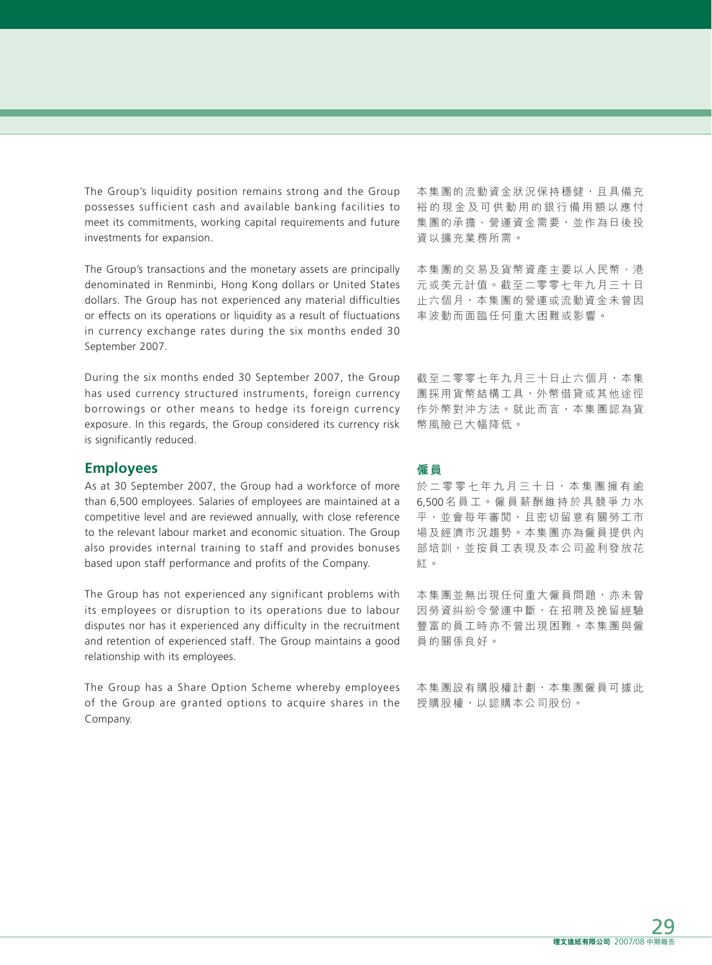The Group's liquidity position remains strong and the Group possesses sufficient cash and available banking facilities to meet its commitments, working capital requirements and future investments for expansion.

The Group's transactions and the monetary assets are principally denominated in Renminbi, Hong Kong dollars or United States dollars. The Group has not experienced any material difficulties or effects on its operations or liquidity as a result of fluctuations in currency exchange rates during the six months ended 30 September 2007.

During the six months ended 30 September 2007, the Group has used currency structured instruments, foreign currency borrowings or other means to hedge its foreign currency exposure. In this regards, the Group considered its currency risk is significantly reduced.

#### **Employees**

As at 30 September 2007, the Group had a workforce of more than 6,500 employees. Salaries of employees are maintained at a competitive level and are reviewed annually, with close reference to the relevant labour market and economic situation. The Group also provides internal training to staff and provides bonuses based upon staff performance and profits of the Company.

The Group has not experienced any significant problems with its employees or disruption to its operations due to labour disputes nor has it experienced any difficulty in the recruitment and retention of experienced staff. The Group maintains a good relationship with its employees.

The Group has a Share Option Scheme whereby employees of the Group are granted options to acquire shares in the Company.

本集團的流動資金狀況保持穩健,且具備充 裕的現金及可供動用的銀行備用額以應付 集團的承擔、營運資金需要,並作為日後投 資以擴充業務所需。

本集團的交易及貨幣資產主要以人民幣、港 元或美元計值。截至二零零七年九月三十日 止六個月,本集團的營運或流動資金未曾因 率波動而面臨任何重大困難或影響。

截至二零零七年九月三十日止六個月,本集 團採用貨幣結構工具,外幣借貸或其他途徑 作外幣對沖方法。就此而言,本集團認為貨 幣風險已大幅降低。

#### **僱員**

於二零零七年九月三十日,本集團擁有逾 6,500名員工。僱員薪酬維持於具競爭力水 平,並會每年審閲,且密切留意有關勞工市 場及經濟市況趨勢。本集團亦為僱員提供內 部培訓,並按員工表現及本公司盈利發放花 紅。

本集團並無出現任何重大僱員問題,亦未曾 因勞資糾紛令營運中斷,在招聘及挽留經驗 豐富的員工時亦不曾出現困難。本集團與僱 員的關係良好。

本集團設有購股權計劃,本集團僱員可據此 授購股權,以認購本公司股份。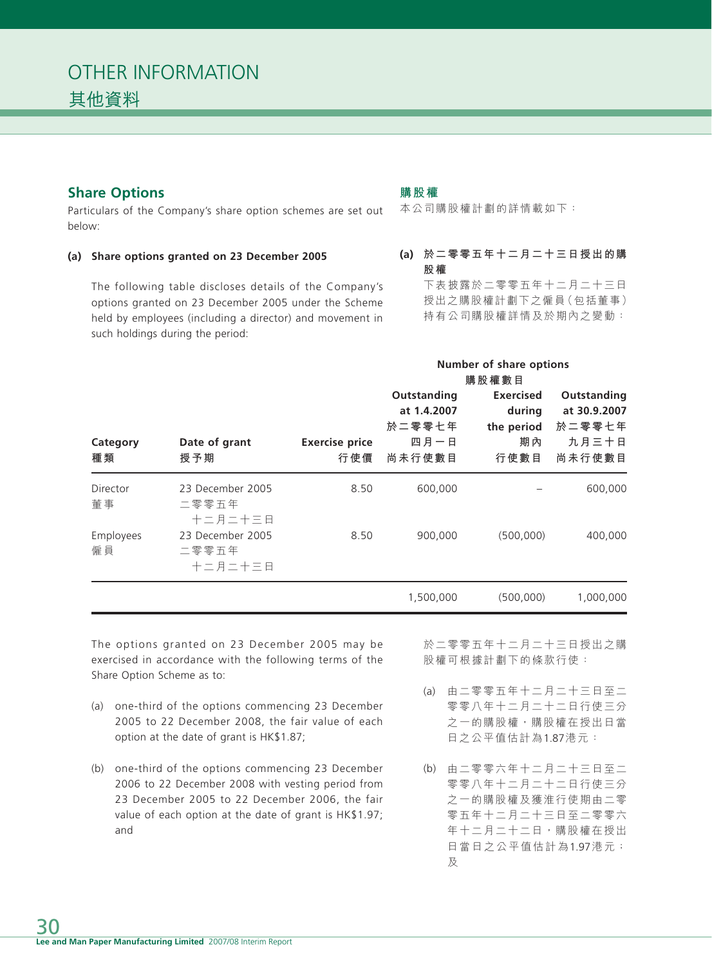## **Share Options**

Particulars of the Company's share option schemes are set out below:

#### **(a) Share options granted on 23 December 2005**

The following table discloses details of the Company's options granted on 23 December 2005 under the Scheme held by employees (including a director) and movement in such holdings during the period:

#### **購股權**

本公司購股權計劃的詳情載如下:

## **(a) 於二零零五年十二月二十三日授出的購 股權**

下表披露於二零零五年十二月二十三日 授出之購股權計劃下之僱員(包括董事) 持有公司購股權詳情及於期內之變動:

|                       |                                      |                              | <b>Number of share options</b><br>購股權數目                |                                                        |                                                          |
|-----------------------|--------------------------------------|------------------------------|--------------------------------------------------------|--------------------------------------------------------|----------------------------------------------------------|
| Category<br>種類        | Date of grant<br>授予期                 | <b>Exercise price</b><br>行使價 | Outstanding<br>at 1.4.2007<br>於二零零七年<br>四月一日<br>尚未行使數目 | <b>Exercised</b><br>during<br>the period<br>期內<br>行使數目 | Outstanding<br>at 30.9.2007<br>於二零零七年<br>九月三十日<br>尚未行使數目 |
| <b>Director</b><br>董事 | 23 December 2005<br>二零零五年<br>十二月二十三日 | 8.50                         | 600,000                                                |                                                        | 600,000                                                  |
| Employees<br>僱員       | 23 December 2005<br>二零零五年<br>十二月二十三日 | 8.50                         | 900,000                                                | (500,000)                                              | 400,000                                                  |
|                       |                                      |                              | 1,500,000                                              | (500,000)                                              | 1,000,000                                                |

The options granted on 23 December 2005 may be exercised in accordance with the following terms of the Share Option Scheme as to:

- (a) one-third of the options commencing 23 December 2005 to 22 December 2008, the fair value of each option at the date of grant is HK\$1.87;
- (b) one-third of the options commencing 23 December 2006 to 22 December 2008 with vesting period from 23 December 2005 to 22 December 2006, the fair value of each option at the date of grant is HK\$1.97; and

於二零零五年十二月二十三日授出之購 股權可根據計劃下的條款行使:

- (a) 由二零零五年十二月二十三日至二 零零八年十二月二十二日行使三分 之一的購股權,購股權在授出日當 日之公平值估計為1.87港元:
- (b) 由二零零六年十二月二十三日至二 零零八年十二月二十二日行使三分 之一的購股權及獲淮行使期由二零 零五年十二月二十三日至二零零六 年十二月二十二日,購股權在授出 日當日之公平值估計為1.97港元; 及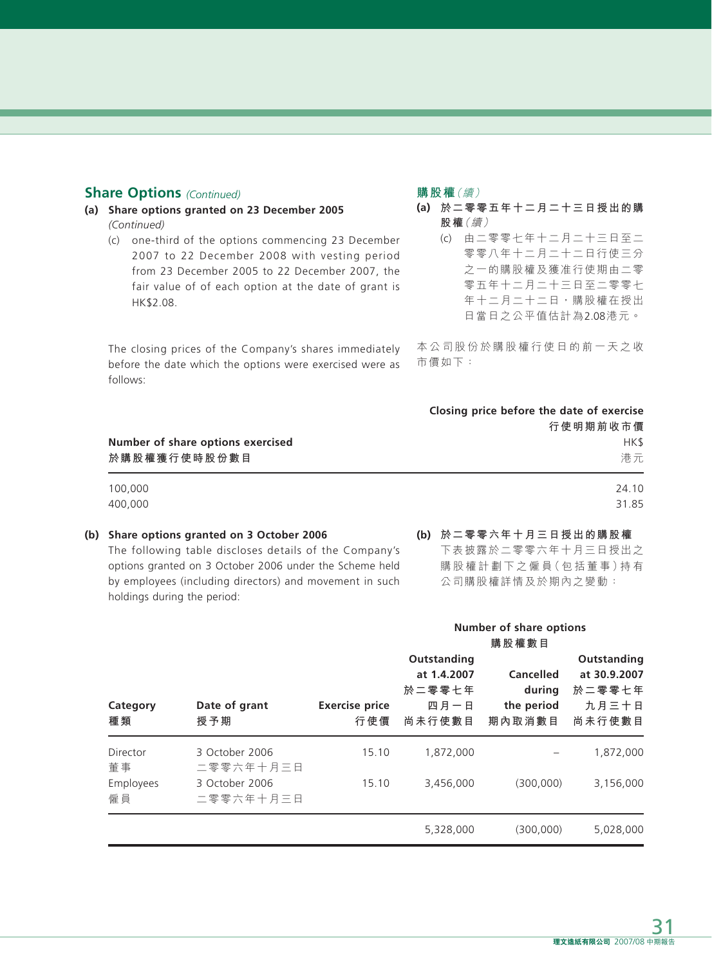### **Share Options** *(Continued)*

- **(a) Share options granted on 23 December 2005**  *(Continued)*
	- (c) one-third of the options commencing 23 December 2007 to 22 December 2008 with vesting period from 23 December 2005 to 22 December 2007, the fair value of of each option at the date of grant is HK\$2.08.

The closing prices of the Company's shares immediately before the date which the options were exercised were as follows:

#### **購股權**(續)

- **(a) 於二零零五年十二月二十三日授出的購 股權**(續)
	- (c) 由二零零七年十二月二十三日至二 零零八年十二月二十二日行使三分 之一的購股權及獲准行使期由二零 零五年十二月二十三日至二零零七 年十二月二十二日,購股權在授出 日當日之公平值估計為2.08港元。

本公司股份於購股權行使日的前一天之收 市價如下:

|                                                   | Closing price before the date of exercise<br>行使明期前收市價 |
|---------------------------------------------------|-------------------------------------------------------|
| Number of share options exercised<br>於購股權獲行使時股份數目 | HK\$<br>港元                                            |
| 100,000                                           | 24.10                                                 |
| 400,000                                           | 31.85                                                 |
|                                                   |                                                       |

#### **(b) Share options granted on 3 October 2006**

The following table discloses details of the Company's options granted on 3 October 2006 under the Scheme held by employees (including directors) and movement in such holdings during the period:

**(b) 於二零零六年十月三日授出的購股權** 下表披露於二零零六年十月三日授出之 購股權計劃下之僱員(包括董事)持有 公司購股權詳情及於期內之變動:

|                             |                                               |                              | <b>Number of share options</b><br>購股權數目                |                                             |                                                          |
|-----------------------------|-----------------------------------------------|------------------------------|--------------------------------------------------------|---------------------------------------------|----------------------------------------------------------|
| Category<br>種類              | Date of grant<br>授予期                          | <b>Exercise price</b><br>行使價 | Outstanding<br>at 1.4.2007<br>於二零零七年<br>四月一日<br>尚未行使數目 | Cancelled<br>during<br>the period<br>期內取消數目 | Outstanding<br>at 30.9.2007<br>於二零零七年<br>九月三十日<br>尚未行使數目 |
| Director<br>董事<br>Employees | 3 October 2006<br>二零零六年十月三日<br>3 October 2006 | 15.10<br>15.10               | 1.872.000<br>3,456,000                                 | (300,000)                                   | 1,872,000<br>3,156,000                                   |
| 僱員                          | 二零零六年十月三日                                     |                              | 5,328,000                                              | (300,000)                                   | 5,028,000                                                |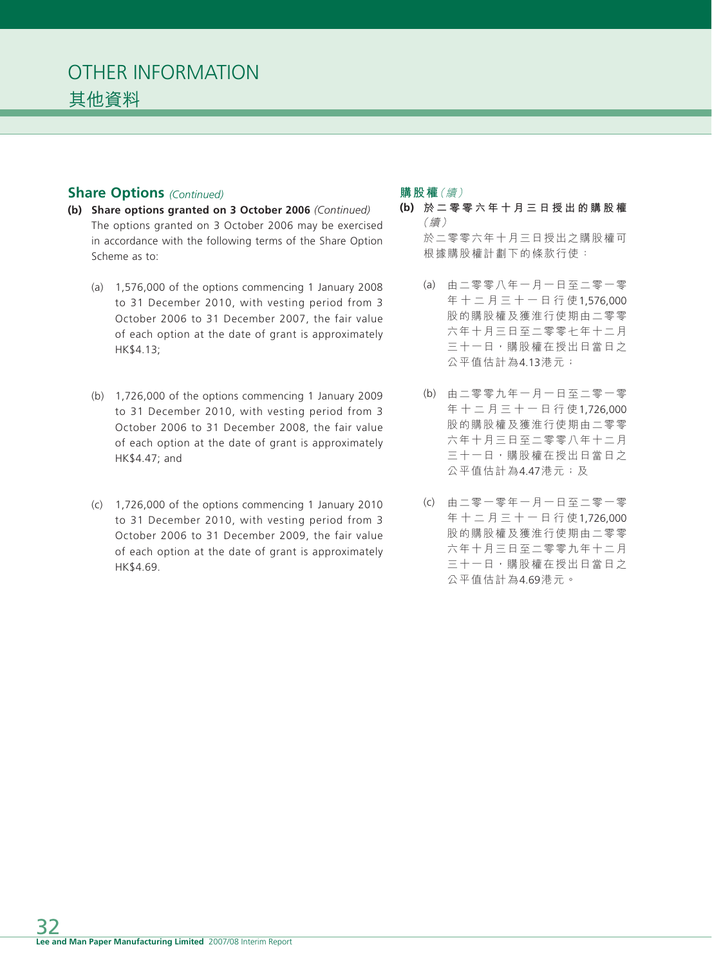## **Share Options** *(Continued)*

- **(b) Share options granted on 3 October 2006** *(Continued)* The options granted on 3 October 2006 may be exercised in accordance with the following terms of the Share Option Scheme as to:
	- (a) 1,576,000 of the options commencing 1 January 2008 to 31 December 2010, with vesting period from 3 October 2006 to 31 December 2007, the fair value of each option at the date of grant is approximately HK\$4.13;
	- (b) 1,726,000 of the options commencing 1 January 2009 to 31 December 2010, with vesting period from 3 October 2006 to 31 December 2008, the fair value of each option at the date of grant is approximately HK\$4.47; and
	- (c) 1,726,000 of the options commencing 1 January 2010 to 31 December 2010, with vesting period from 3 October 2006 to 31 December 2009, the fair value of each option at the date of grant is approximately HK\$4.69.

### **購股權**(續)

- **(b) 於二零零六年十月三日授出的購股權** (續) 於二零零六年十月三日授出之購股權可 根據購股權計劃下的條款行使:
	- (a) 由二零零八年一月一日至二零一零 年十二月三十一日行使1,576,000 股的購股權及獲淮行使期由二零零 六年十月三日至二零零七年十二月 三十一日,購股權在授出日當日之 公平值估計為4.13港元;
	- (b) 由二零零九年一月一日至二零一零 年十二月三十一日行使1,726,000 股的購股權及獲淮行使期由二零零 六年十月三日至二零零八年十二月 三十一日,購股權在授出日當日之 公平值估計為4.47港元;及
	- (c) 由二零一零年一月一日至二零一零 年十二月三十一日行使1,726,000 股的購股權及獲淮行使期由二零零 六年十月三日至二零零九年十二月 三十一日,購股權在授出日當日之 公平值估計為4.69港元。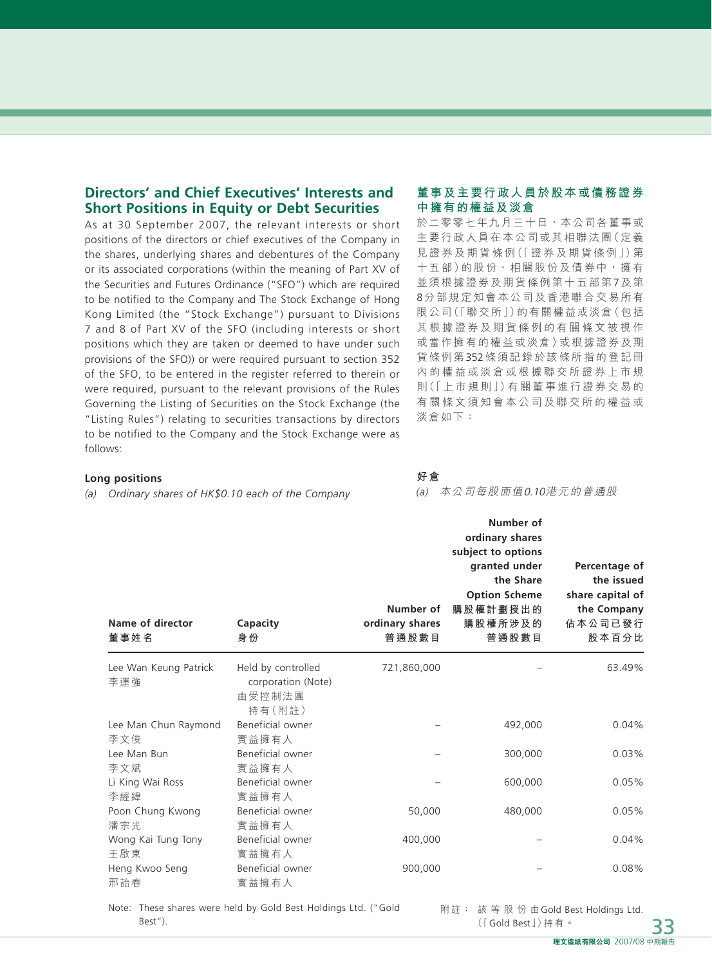## **Directors' and Chief Executives' Interests and Short Positions in Equity or Debt Securities**

As at 30 September 2007, the relevant interests or short positions of the directors or chief executives of the Company in the shares, underlying shares and debentures of the Company or its associated corporations (within the meaning of Part XV of the Securities and Futures Ordinance ("SFO") which are required to be notified to the Company and The Stock Exchange of Hong Kong Limited (the "Stock Exchange") pursuant to Divisions 7 and 8 of Part XV of the SFO (including interests or short positions which they are taken or deemed to have under such provisions of the SFO)) or were required pursuant to section 352 of the SFO, to be entered in the register referred to therein or were required, pursuant to the relevant provisions of the Rules Governing the Listing of Securities on the Stock Exchange (the "Listing Rules") relating to securities transactions by directors to be notified to the Company and the Stock Exchange were as follows:

#### **董事及主要行政人員於股本或債務證券 中擁有的權益及淡倉**

於二零零七年九月三十日,本公司各董事或 主要行政人員在本公司或其相聯法團(定義 見證券及期貨條例(「證券及期貨條例」)第 十五部)的股份、相關股份及債券中,擁有 並須根據證券及期貨條例第十五部第7及第 8分部規定知會本公司及香港聯合交易所有 限公司(「聯交所」)的有關權益或淡倉(包括 其根據證券及期貨條例的有關條文被視作 或當作擁有的權益或淡倉)或根據證券及期 貨條例第352條須記錄於該條所指的登記冊 內的權益或淡倉或根據聯交所證券上市規 則(「上市規則」)有關董事進行證券交易的 有關條文須知會本公司及聯交所的權益或 淡倉如下:

#### **Long positions**

*(a) Ordinary shares of HK\$0.10 each of the Company*

**好倉**

(a) 本公司每股面值0.10港元的普通股

| Name of director<br>董事姓名     | Capacity<br>身份                                               | Number of<br>ordinary shares<br>普通股數目 | Number of<br>ordinary shares<br>subject to options<br>granted under<br>the Share<br><b>Option Scheme</b><br>購股權計劃授出的<br>購股權所涉及的<br>普通股數目 | Percentage of<br>the issued<br>share capital of<br>the Company<br>佔本公司已發行<br>股本百分比 |
|------------------------------|--------------------------------------------------------------|---------------------------------------|------------------------------------------------------------------------------------------------------------------------------------------|------------------------------------------------------------------------------------|
| Lee Wan Keung Patrick<br>李運強 | Held by controlled<br>corporation (Note)<br>由受控制法團<br>持有(附註) | 721,860,000                           |                                                                                                                                          | 63.49%                                                                             |
| Lee Man Chun Raymond<br>李文俊  | Beneficial owner<br>實益擁有人                                    |                                       | 492,000                                                                                                                                  | 0.04%                                                                              |
| Lee Man Bun<br>李文斌           | Beneficial owner<br>實益擁有人                                    |                                       | 300,000                                                                                                                                  | 0.03%                                                                              |
| Li King Wai Ross<br>李經緯      | Beneficial owner<br>實益擁有人                                    |                                       | 600,000                                                                                                                                  | 0.05%                                                                              |
| Poon Chung Kwong<br>潘宗光      | Beneficial owner<br>實益擁有人                                    | 50,000                                | 480,000                                                                                                                                  | 0.05%                                                                              |
| Wong Kai Tung Tony<br>王啟東    | Beneficial owner<br>實益擁有人                                    | 400,000                               |                                                                                                                                          | 0.04%                                                                              |
| Heng Kwoo Seng<br>邢詒春        | Beneficial owner<br>實益擁有人                                    | 900,000                               |                                                                                                                                          | 0.08%                                                                              |

Note: These shares were held by Gold Best Holdings Ltd. ("Gold Best").

附註: 該等股份由Gold Best Holdings Ltd. (「Gold Best」)持有。

33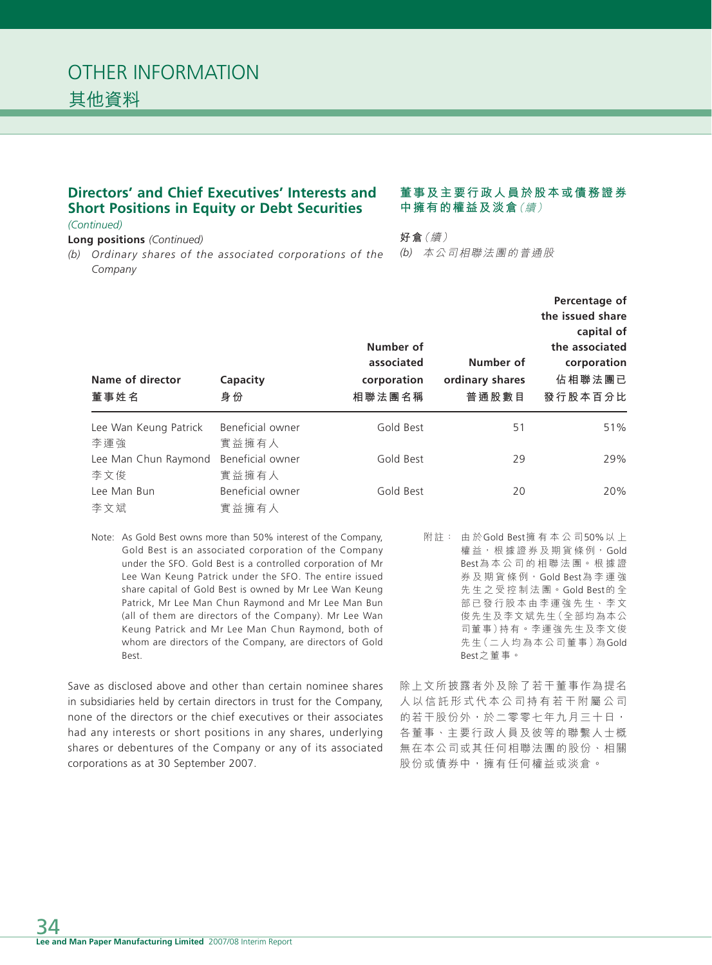## **Directors' and Chief Executives' Interests and Short Positions in Equity or Debt Securities**

*(Continued)*

**Long positions** *(Continued)*

*(b) Ordinary shares of the associated corporations of the Company*

#### **董事及主要行政人員於股本或債務證券 中擁有的權益及淡倉**(續)

**好倉**(續) *(b)* 本公司相聯法團的普通股

| Name of director<br>董事姓名     | Capacity<br>身份            | Number of<br>associated<br>corporation<br>相聯法團名稱 | Number of<br>ordinary shares<br>普通股數目 | Percentage of<br>the issued share<br>capital of<br>the associated<br>corporation<br>佔相聯法團已<br>發行股本百分比 |
|------------------------------|---------------------------|--------------------------------------------------|---------------------------------------|-------------------------------------------------------------------------------------------------------|
| Lee Wan Keung Patrick<br>李運強 | Beneficial owner<br>實益擁有人 | Gold Best                                        | 51                                    | 51%                                                                                                   |
| Lee Man Chun Raymond         | Beneficial owner          | Gold Best                                        | 29                                    | 29%                                                                                                   |
| 李文俊                          | 實益擁有人                     |                                                  |                                       |                                                                                                       |
| Lee Man Bun                  | Beneficial owner          | Gold Best                                        | 20                                    | 20%                                                                                                   |
| 李文斌                          | 實益擁有人                     |                                                  |                                       |                                                                                                       |

Note: As Gold Best owns more than 50% interest of the Company, Gold Best is an associated corporation of the Company under the SFO. Gold Best is a controlled corporation of Mr Lee Wan Keung Patrick under the SFO. The entire issued share capital of Gold Best is owned by Mr Lee Wan Keung Patrick, Mr Lee Man Chun Raymond and Mr Lee Man Bun (all of them are directors of the Company). Mr Lee Wan Keung Patrick and Mr Lee Man Chun Raymond, both of whom are directors of the Company, are directors of Gold Best.

Save as disclosed above and other than certain nominee shares in subsidiaries held by certain directors in trust for the Company, none of the directors or the chief executives or their associates had any interests or short positions in any shares, underlying shares or debentures of the Company or any of its associated corporations as at 30 September 2007.

附註: 由 於Gold Best擁有本公司50%以 上 權益,根據證券及期貨條例,Gold Best為本公司的相聯法團。根據證 券及期貨條例,Gold Best為李運強 先生之受控制法團。Gold Best的 全 部已發行股本由李運強先生、李文 俊先生及李文斌先生(全部均為本公 司董事)持有。李運強先生及李文俊 先生(二人均為本公司董事)為Gold Best之董事。

除上文所披露者外及除了若干董事作為提名 人以信託形式代本公司持有若干附屬公司 的若干股份外,於二零零七年九月三十日, 各董事、主要行政人員及彼等的聯繫人士概 無在本公司或其任何相聯法團的股份、相關 股份或債券中,擁有任何權益或淡倉。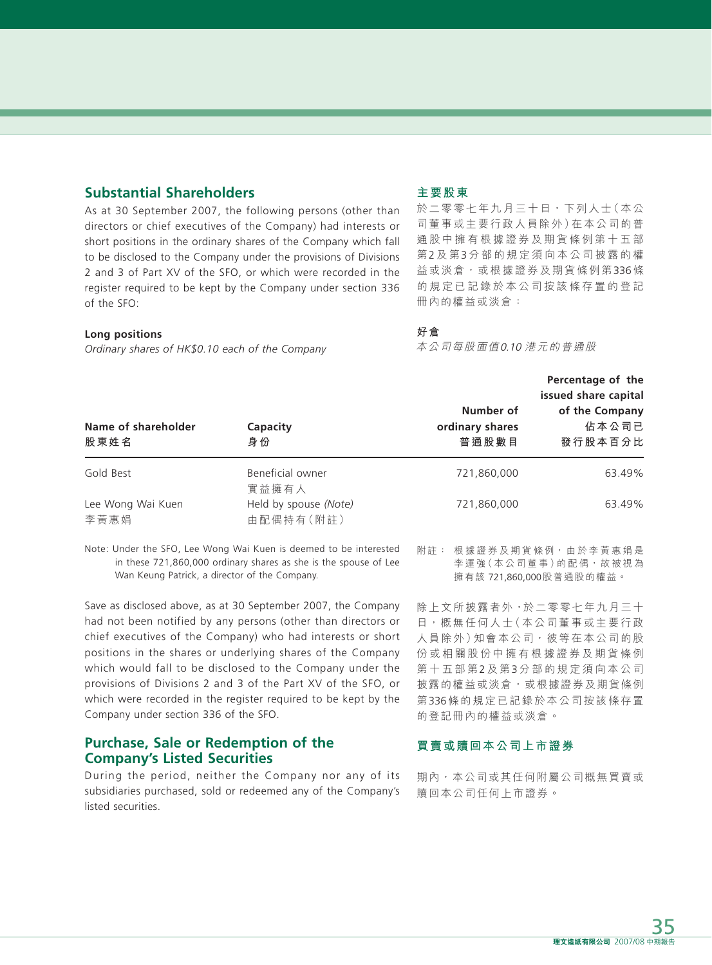## **Substantial Shareholders**

As at 30 September 2007, the following persons (other than directors or chief executives of the Company) had interests or short positions in the ordinary shares of the Company which fall to be disclosed to the Company under the provisions of Divisions 2 and 3 of Part XV of the SFO, or which were recorded in the register required to be kept by the Company under section 336 of the SFO:

#### **Long positions**

*Ordinary shares of HK\$0.10 each of the Company*

#### **主要股東**

於二零零七年九月三十日,下列人士(本公 司董事或主要行政人員除外)在本公司的普 通股中擁有根據證券及期貨條例第十五部 第2及 第3分部的規定須向本公司披露的權 益或淡倉,或根據證券及期貨條例第336條 的規定已記錄於本公司按該條存置的登記 冊內的權益或淡倉:

#### **好倉**

本公司每股面值0.10 港元的普通股

|                             |                                    |                                       | Percentage of the<br>issued share capital |
|-----------------------------|------------------------------------|---------------------------------------|-------------------------------------------|
| Name of shareholder<br>股東姓名 | Capacity<br>身份                     | Number of<br>ordinary shares<br>普通股數目 | of the Company<br>佔本公司已<br>發行股本百分比        |
| Gold Best                   | Beneficial owner<br>實益擁有人          | 721,860,000                           | 63.49%                                    |
| Lee Wong Wai Kuen<br>李黃惠娟   | Held by spouse (Note)<br>由配偶持有(附註) | 721,860,000                           | 63.49%                                    |

Note: Under the SFO, Lee Wong Wai Kuen is deemed to be interested in these 721,860,000 ordinary shares as she is the spouse of Lee Wan Keung Patrick, a director of the Company.

Save as disclosed above, as at 30 September 2007, the Company had not been notified by any persons (other than directors or chief executives of the Company) who had interests or short positions in the shares or underlying shares of the Company which would fall to be disclosed to the Company under the provisions of Divisions 2 and 3 of the Part XV of the SFO, or which were recorded in the register required to be kept by the Company under section 336 of the SFO.

#### **Purchase, Sale or Redemption of the Company's Listed Securities**

During the period, neither the Company nor any of its subsidiaries purchased, sold or redeemed any of the Company's listed securities.

附註: 根據證券及期貨條例,由於李黃惠娟是 李運強(本公司董事)的配偶,故被視為 擁有該 721,860,000股普通股的權益。

除上文所披露者外,於二零零七年九月三十 日,概無任何人士(本公司董事或主要行政 人員除外)知會本公司,彼等在本公司的股 份或相關股份中擁有根據證券及期貨條例 第十五部第2及 第3分部的規定須向本公司 披露的權益或淡倉,或根據證券及期貨條例 第336條的規定已記錄於本公司按該條存置 的登記冊內的權益或淡倉。

#### **買賣或贖回本公司上市證券**

期內,本公司或其任何附屬公司概無買賣或 贖回本公司任何上市證券。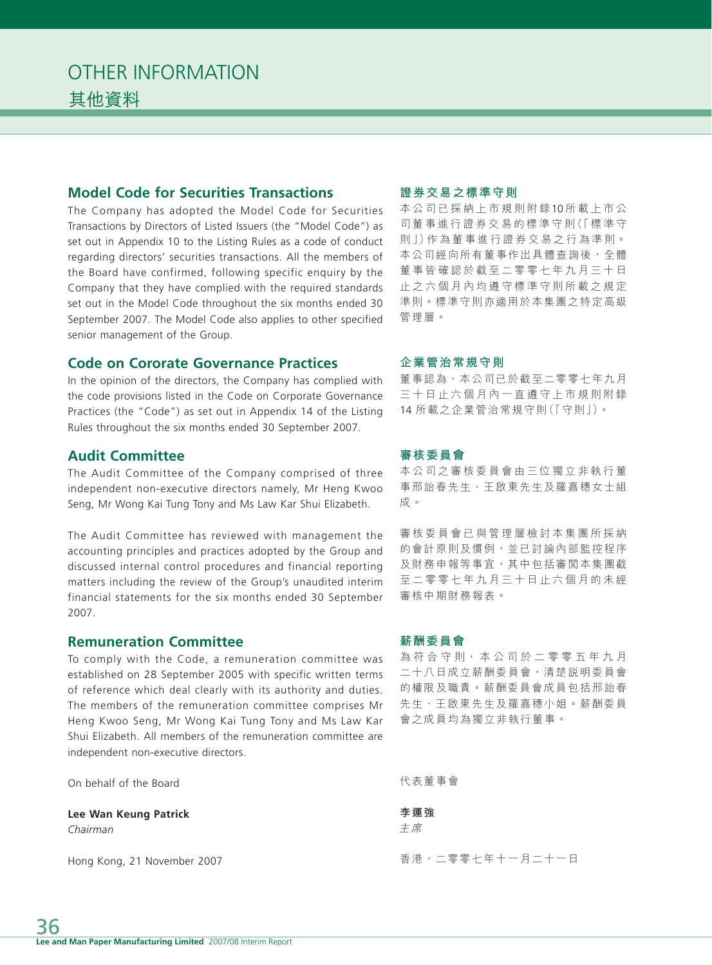## **Model Code for Securities Transactions**

The Company has adopted the Model Code for Securities Transactions by Directors of Listed Issuers (the "Model Code") as set out in Appendix 10 to the Listing Rules as a code of conduct regarding directors' securities transactions. All the members of the Board have confirmed, following specific enquiry by the Company that they have complied with the required standards set out in the Model Code throughout the six months ended 30 September 2007. The Model Code also applies to other specified senior management of the Group.

### **Code on Cororate Governance Practices**

In the opinion of the directors, the Company has complied with the code provisions listed in the Code on Corporate Governance Practices (the "Code") as set out in Appendix 14 of the Listing Rules throughout the six months ended 30 September 2007.

## **Audit Committee**

The Audit Committee of the Company comprised of three independent non-executive directors namely, Mr Heng Kwoo Seng, Mr Wong Kai Tung Tony and Ms Law Kar Shui Elizabeth.

The Audit Committee has reviewed with management the accounting principles and practices adopted by the Group and discussed internal control procedures and financial reporting matters including the review of the Group's unaudited interim financial statements for the six months ended 30 September 2007.

### **Remuneration Committee**

To comply with the Code, a remuneration committee was established on 28 September 2005 with specific written terms of reference which deal clearly with its authority and duties. The members of the remuneration committee comprises Mr Heng Kwoo Seng, Mr Wong Kai Tung Tony and Ms Law Kar Shui Elizabeth. All members of the remuneration committee are independent non-executive directors.

On behalf of the Board

**Lee Wan Keung Patrick**

*Chairman*

Hong Kong, 21 November 2007

#### **證券交易之標準守則**

本公司已採納上市規則附錄10 所載上市公 司董事進行證券交易的標準守則(「標準守 則」)作 為 董 事 進 行 證 券 交 易 之 行 為 準 則。 本公司經向所有董事作出具體查詢後,全體 董事皆確認於截至二零零七年九月三十日 止之六個月內均遵守標準守則所載之規定 準則。標準守則亦適用於本集團之特定高級 管理層。

#### **企業管治常規守則**

董事認為,本公司已於截至二零零七年九月 三十日止六個月內一直遵守上市規則附錄 14 所載之企業管治常規守則(「守則」)。

### **審核委員會**

本公司之審核委員會由三位獨立非執行董 事邢詒春先生、王啟東先生及羅嘉穗女士組 成。

審核委員會已與管理層檢討本集團所採納 的會計原則及慣例,並已討論內部監控程序 及財務申報等事宜,其中包括審閲本集團截 至二零零七年九月三十日止六個月的未經 審核中期財務報表。

#### **薪酬委員會**

為符合守則,本公司於二零零五年九月 二十八日成立薪酬委員會,清楚說明委員會 的權限及職責。薪酬委員會成員包括邢詒春 先生、王啟東先生及羅嘉穗小姐。薪酬委員 會之成員均為獨立非執行董事。

代表董事會

**李運強** 主席

香港,二零零七年十一月二十一日